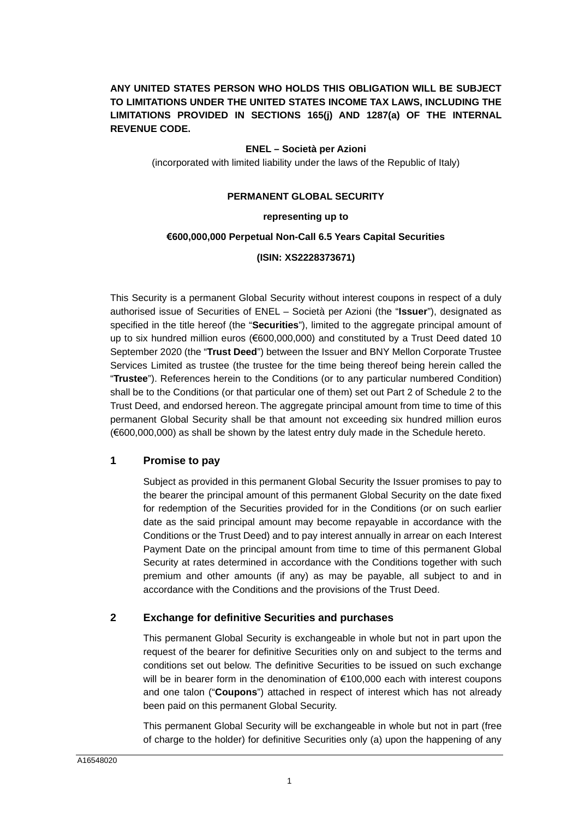# **ANY UNITED STATES PERSON WHO HOLDS THIS OBLIGATION WILL BE SUBJECT TO LIMITATIONS UNDER THE UNITED STATES INCOME TAX LAWS, INCLUDING THE LIMITATIONS PROVIDED IN SECTIONS 165(j) AND 1287(a) OF THE INTERNAL REVENUE CODE.**

## **ENEL – Società per Azioni**

(incorporated with limited liability under the laws of the Republic of Italy)

## **PERMANENT GLOBAL SECURITY**

#### **representing up to**

#### **€600,000,000 Perpetual Non-Call 6.5 Years Capital Securities**

## **(ISIN: XS2228373671)**

This Security is a permanent Global Security without interest coupons in respect of a duly authorised issue of Securities of ENEL – Società per Azioni (the "**Issuer**"), designated as specified in the title hereof (the "**Securities**"), limited to the aggregate principal amount of up to six hundred million euros (€600,000,000) and constituted by a Trust Deed dated 10 September 2020 (the "**Trust Deed**") between the Issuer and BNY Mellon Corporate Trustee Services Limited as trustee (the trustee for the time being thereof being herein called the "**Trustee**"). References herein to the Conditions (or to any particular numbered Condition) shall be to the Conditions (or that particular one of them) set out Part 2 of Schedule 2 to the Trust Deed, and endorsed hereon. The aggregate principal amount from time to time of this permanent Global Security shall be that amount not exceeding six hundred million euros (€600,000,000) as shall be shown by the latest entry duly made in the Schedule hereto.

## **1 Promise to pay**

Subject as provided in this permanent Global Security the Issuer promises to pay to the bearer the principal amount of this permanent Global Security on the date fixed for redemption of the Securities provided for in the Conditions (or on such earlier date as the said principal amount may become repayable in accordance with the Conditions or the Trust Deed) and to pay interest annually in arrear on each Interest Payment Date on the principal amount from time to time of this permanent Global Security at rates determined in accordance with the Conditions together with such premium and other amounts (if any) as may be payable, all subject to and in accordance with the Conditions and the provisions of the Trust Deed.

## **2 Exchange for definitive Securities and purchases**

This permanent Global Security is exchangeable in whole but not in part upon the request of the bearer for definitive Securities only on and subject to the terms and conditions set out below. The definitive Securities to be issued on such exchange will be in bearer form in the denomination of €100,000 each with interest coupons and one talon ("**Coupons**") attached in respect of interest which has not already been paid on this permanent Global Security.

This permanent Global Security will be exchangeable in whole but not in part (free of charge to the holder) for definitive Securities only (a) upon the happening of any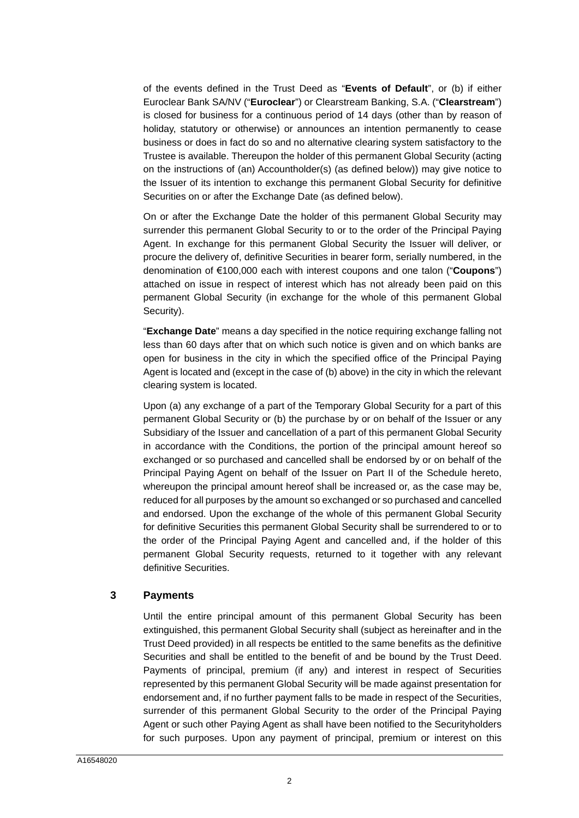of the events defined in the Trust Deed as "**Events of Default**", or (b) if either Euroclear Bank SA/NV ("**Euroclear**") or Clearstream Banking, S.A. ("**Clearstream**") is closed for business for a continuous period of 14 days (other than by reason of holiday, statutory or otherwise) or announces an intention permanently to cease business or does in fact do so and no alternative clearing system satisfactory to the Trustee is available. Thereupon the holder of this permanent Global Security (acting on the instructions of (an) Accountholder(s) (as defined below)) may give notice to the Issuer of its intention to exchange this permanent Global Security for definitive Securities on or after the Exchange Date (as defined below).

On or after the Exchange Date the holder of this permanent Global Security may surrender this permanent Global Security to or to the order of the Principal Paying Agent. In exchange for this permanent Global Security the Issuer will deliver, or procure the delivery of, definitive Securities in bearer form, serially numbered, in the denomination of €100,000 each with interest coupons and one talon ("**Coupons**") attached on issue in respect of interest which has not already been paid on this permanent Global Security (in exchange for the whole of this permanent Global Security).

"**Exchange Date**" means a day specified in the notice requiring exchange falling not less than 60 days after that on which such notice is given and on which banks are open for business in the city in which the specified office of the Principal Paying Agent is located and (except in the case of (b) above) in the city in which the relevant clearing system is located.

Upon (a) any exchange of a part of the Temporary Global Security for a part of this permanent Global Security or (b) the purchase by or on behalf of the Issuer or any Subsidiary of the Issuer and cancellation of a part of this permanent Global Security in accordance with the Conditions, the portion of the principal amount hereof so exchanged or so purchased and cancelled shall be endorsed by or on behalf of the Principal Paying Agent on behalf of the Issuer on [Part II](#page-6-0) of the Schedule hereto, whereupon the principal amount hereof shall be increased or, as the case may be, reduced for all purposes by the amount so exchanged or so purchased and cancelled and endorsed. Upon the exchange of the whole of this permanent Global Security for definitive Securities this permanent Global Security shall be surrendered to or to the order of the Principal Paying Agent and cancelled and, if the holder of this permanent Global Security requests, returned to it together with any relevant definitive Securities.

## **3 Payments**

Until the entire principal amount of this permanent Global Security has been extinguished, this permanent Global Security shall (subject as hereinafter and in the Trust Deed provided) in all respects be entitled to the same benefits as the definitive Securities and shall be entitled to the benefit of and be bound by the Trust Deed. Payments of principal, premium (if any) and interest in respect of Securities represented by this permanent Global Security will be made against presentation for endorsement and, if no further payment falls to be made in respect of the Securities, surrender of this permanent Global Security to the order of the Principal Paying Agent or such other Paying Agent as shall have been notified to the Securityholders for such purposes. Upon any payment of principal, premium or interest on this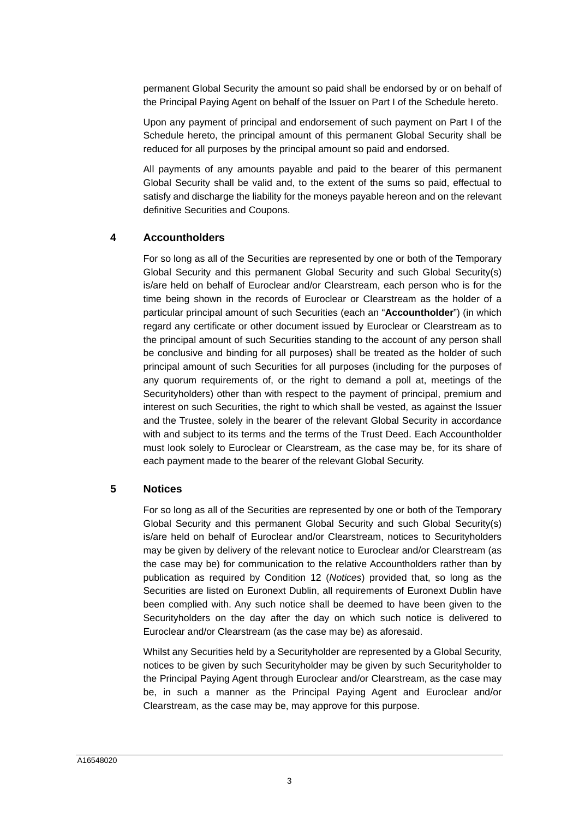permanent Global Security the amount so paid shall be endorsed by or on behalf of the Principal Paying Agent on behalf of the Issuer on [Part I](#page-5-0) of the Schedule hereto.

Upon any payment of principal and endorsement of such payment on [Part I](#page-5-0) of the Schedule hereto, the principal amount of this permanent Global Security shall be reduced for all purposes by the principal amount so paid and endorsed.

All payments of any amounts payable and paid to the bearer of this permanent Global Security shall be valid and, to the extent of the sums so paid, effectual to satisfy and discharge the liability for the moneys payable hereon and on the relevant definitive Securities and Coupons.

# **4 Accountholders**

For so long as all of the Securities are represented by one or both of the Temporary Global Security and this permanent Global Security and such Global Security(s) is/are held on behalf of Euroclear and/or Clearstream, each person who is for the time being shown in the records of Euroclear or Clearstream as the holder of a particular principal amount of such Securities (each an "**Accountholder**") (in which regard any certificate or other document issued by Euroclear or Clearstream as to the principal amount of such Securities standing to the account of any person shall be conclusive and binding for all purposes) shall be treated as the holder of such principal amount of such Securities for all purposes (including for the purposes of any quorum requirements of, or the right to demand a poll at, meetings of the Securityholders) other than with respect to the payment of principal, premium and interest on such Securities, the right to which shall be vested, as against the Issuer and the Trustee, solely in the bearer of the relevant Global Security in accordance with and subject to its terms and the terms of the Trust Deed. Each Accountholder must look solely to Euroclear or Clearstream, as the case may be, for its share of each payment made to the bearer of the relevant Global Security.

## **5 Notices**

For so long as all of the Securities are represented by one or both of the Temporary Global Security and this permanent Global Security and such Global Security(s) is/are held on behalf of Euroclear and/or Clearstream, notices to Securityholders may be given by delivery of the relevant notice to Euroclear and/or Clearstream (as the case may be) for communication to the relative Accountholders rather than by publication as required by Condition 12 (*Notices*) provided that, so long as the Securities are listed on Euronext Dublin, all requirements of Euronext Dublin have been complied with. Any such notice shall be deemed to have been given to the Securityholders on the day after the day on which such notice is delivered to Euroclear and/or Clearstream (as the case may be) as aforesaid.

Whilst any Securities held by a Securityholder are represented by a Global Security, notices to be given by such Securityholder may be given by such Securityholder to the Principal Paying Agent through Euroclear and/or Clearstream, as the case may be, in such a manner as the Principal Paying Agent and Euroclear and/or Clearstream, as the case may be, may approve for this purpose.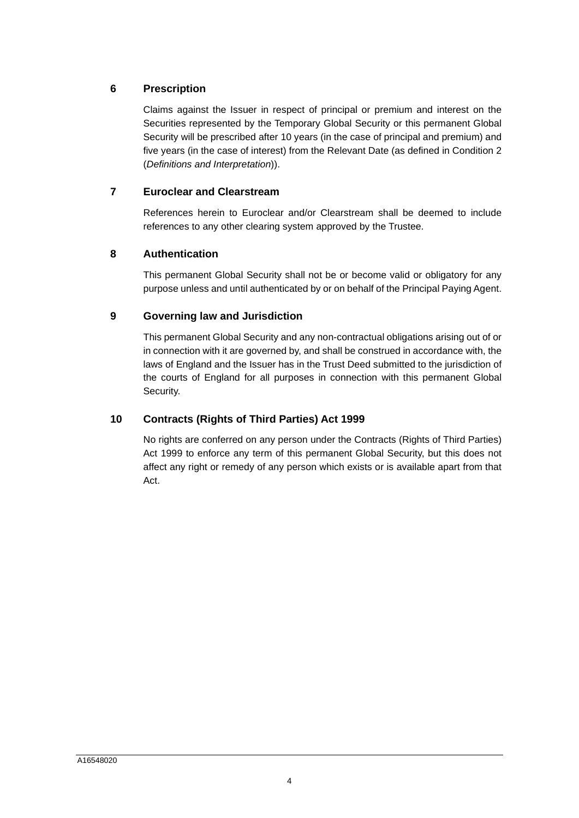# **6 Prescription**

Claims against the Issuer in respect of principal or premium and interest on the Securities represented by the Temporary Global Security or this permanent Global Security will be prescribed after 10 years (in the case of principal and premium) and five years (in the case of interest) from the Relevant Date (as defined in Condition 2 (*Definitions and Interpretation*)).

# **7 Euroclear and Clearstream**

References herein to Euroclear and/or Clearstream shall be deemed to include references to any other clearing system approved by the Trustee.

# **8 Authentication**

This permanent Global Security shall not be or become valid or obligatory for any purpose unless and until authenticated by or on behalf of the Principal Paying Agent.

# **9 Governing law and Jurisdiction**

This permanent Global Security and any non-contractual obligations arising out of or in connection with it are governed by, and shall be construed in accordance with, the laws of England and the Issuer has in the Trust Deed submitted to the jurisdiction of the courts of England for all purposes in connection with this permanent Global Security.

# **10 Contracts (Rights of Third Parties) Act 1999**

No rights are conferred on any person under the Contracts (Rights of Third Parties) Act 1999 to enforce any term of this permanent Global Security, but this does not affect any right or remedy of any person which exists or is available apart from that Act.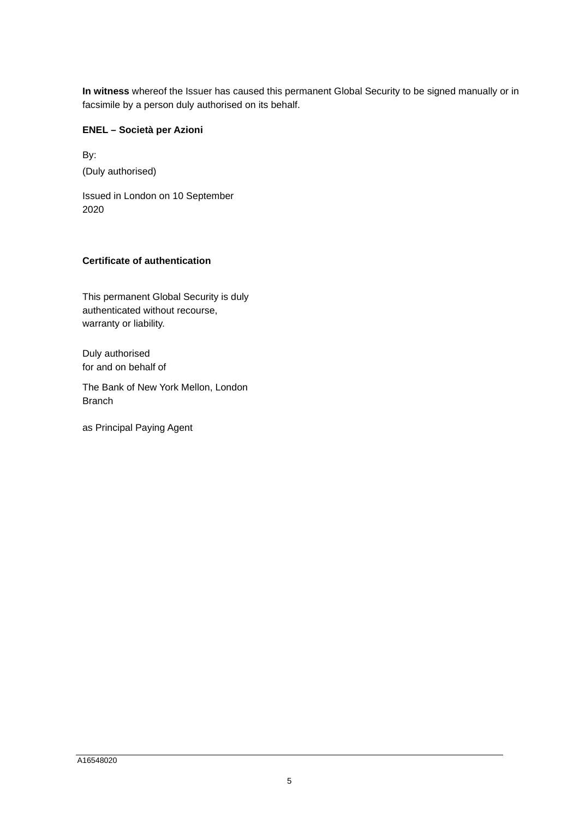**In witness** whereof the Issuer has caused this permanent Global Security to be signed manually or in facsimile by a person duly authorised on its behalf.

## **ENEL – Società per Azioni**

By: (Duly authorised)

Issued in London on 10 September 2020

# **Certificate of authentication**

This permanent Global Security is duly authenticated without recourse, warranty or liability.

Duly authorised for and on behalf of

The Bank of New York Mellon, London **Branch** 

as Principal Paying Agent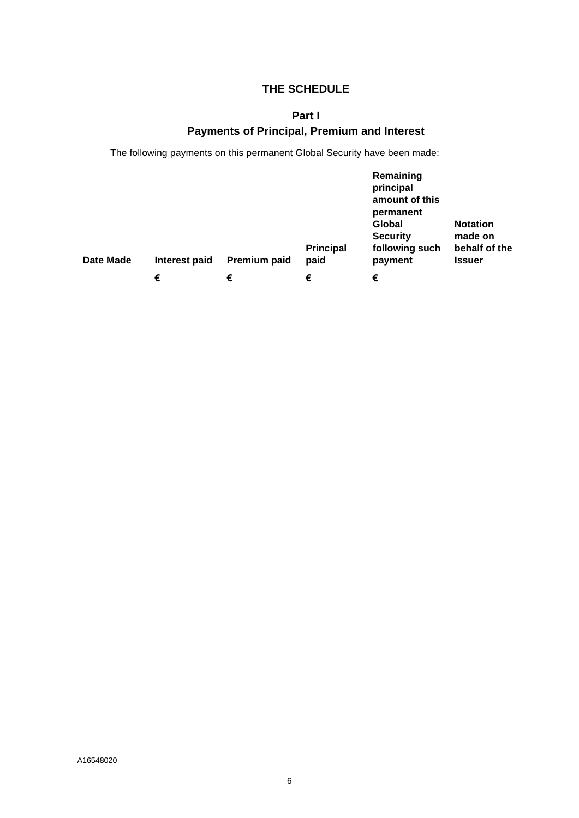# <span id="page-5-0"></span>**THE SCHEDULE**

# **Part I Payments of Principal, Premium and Interest**

The following payments on this permanent Global Security have been made:

| Date Made | Interest paid | Premium paid | <b>Principal</b><br>paid | Remaining<br>principal<br>amount of this<br>permanent<br>Global<br><b>Security</b><br>following such<br>payment | <b>Notation</b><br>made on<br>behalf of the<br><b>Issuer</b> |
|-----------|---------------|--------------|--------------------------|-----------------------------------------------------------------------------------------------------------------|--------------------------------------------------------------|
|           | €             | €            | €                        | €                                                                                                               |                                                              |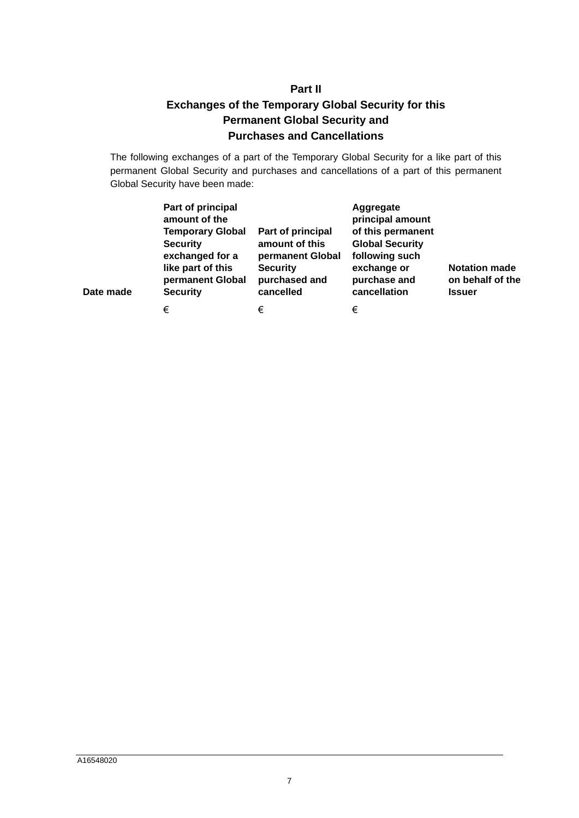# **Part II Exchanges of the Temporary Global Security for this Permanent Global Security and Purchases and Cancellations**

<span id="page-6-0"></span>The following exchanges of a part of the Temporary Global Security for a like part of this permanent Global Security and purchases and cancellations of a part of this permanent Global Security have been made:

| Date made | Part of principal<br>amount of the<br><b>Temporary Global</b><br><b>Security</b><br>exchanged for a<br>like part of this<br>permanent Global<br><b>Security</b> | Part of principal<br>amount of this<br>permanent Global<br><b>Security</b><br>purchased and<br>cancelled | Aggregate<br>principal amount<br>of this permanent<br><b>Global Security</b><br>following such<br>exchange or<br>purchase and<br>cancellation | <b>Notation made</b><br>on behalf of the<br><b>Issuer</b> |
|-----------|-----------------------------------------------------------------------------------------------------------------------------------------------------------------|----------------------------------------------------------------------------------------------------------|-----------------------------------------------------------------------------------------------------------------------------------------------|-----------------------------------------------------------|
|           | €                                                                                                                                                               | €                                                                                                        | €                                                                                                                                             |                                                           |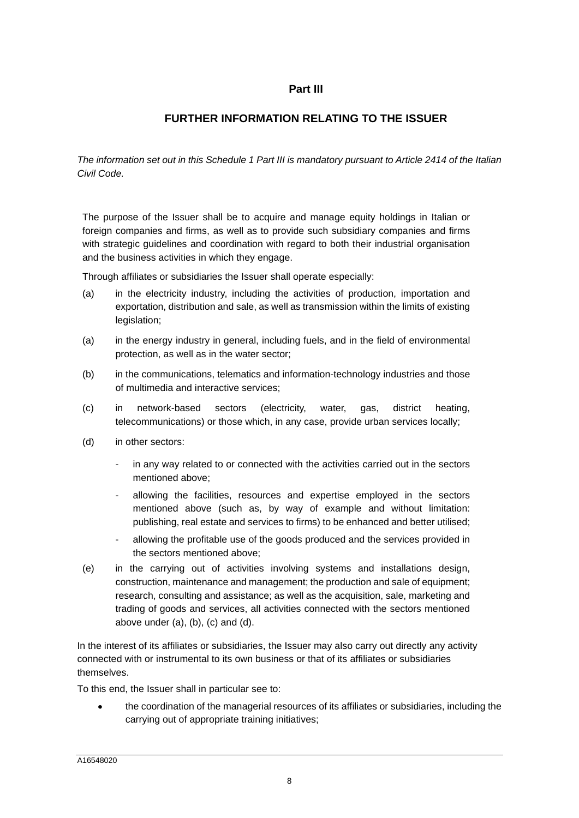# **Part III**

# **FURTHER INFORMATION RELATING TO THE ISSUER**

*The information set out in this Schedule 1 Part III is mandatory pursuant to Article 2414 of the Italian Civil Code.* 

The purpose of the Issuer shall be to acquire and manage equity holdings in Italian or foreign companies and firms, as well as to provide such subsidiary companies and firms with strategic guidelines and coordination with regard to both their industrial organisation and the business activities in which they engage.

Through affiliates or subsidiaries the Issuer shall operate especially:

- (a) in the electricity industry, including the activities of production, importation and exportation, distribution and sale, as well as transmission within the limits of existing legislation;
- (a) in the energy industry in general, including fuels, and in the field of environmental protection, as well as in the water sector;
- (b) in the communications, telematics and information-technology industries and those of multimedia and interactive services;
- (c) in network-based sectors (electricity, water, gas, district heating, telecommunications) or those which, in any case, provide urban services locally;
- (d) in other sectors:
	- in any way related to or connected with the activities carried out in the sectors mentioned above;
	- allowing the facilities, resources and expertise employed in the sectors mentioned above (such as, by way of example and without limitation: publishing, real estate and services to firms) to be enhanced and better utilised;
	- allowing the profitable use of the goods produced and the services provided in the sectors mentioned above;
- (e) in the carrying out of activities involving systems and installations design, construction, maintenance and management; the production and sale of equipment; research, consulting and assistance; as well as the acquisition, sale, marketing and trading of goods and services, all activities connected with the sectors mentioned above under (a), (b), (c) and (d).

In the interest of its affiliates or subsidiaries, the Issuer may also carry out directly any activity connected with or instrumental to its own business or that of its affiliates or subsidiaries themselves.

To this end, the Issuer shall in particular see to:

 the coordination of the managerial resources of its affiliates or subsidiaries, including the carrying out of appropriate training initiatives;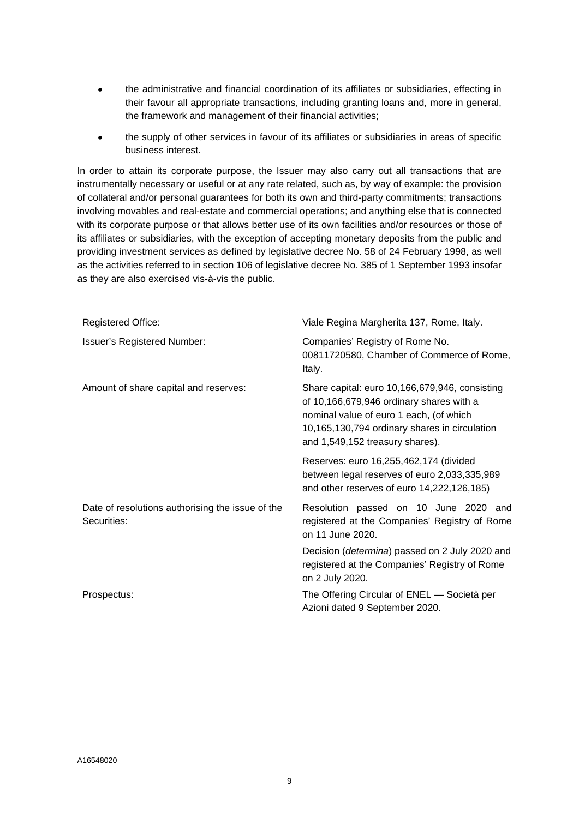- the administrative and financial coordination of its affiliates or subsidiaries, effecting in their favour all appropriate transactions, including granting loans and, more in general, the framework and management of their financial activities;
- the supply of other services in favour of its affiliates or subsidiaries in areas of specific business interest.

In order to attain its corporate purpose, the Issuer may also carry out all transactions that are instrumentally necessary or useful or at any rate related, such as, by way of example: the provision of collateral and/or personal guarantees for both its own and third-party commitments; transactions involving movables and real-estate and commercial operations; and anything else that is connected with its corporate purpose or that allows better use of its own facilities and/or resources or those of its affiliates or subsidiaries, with the exception of accepting monetary deposits from the public and providing investment services as defined by legislative decree No. 58 of 24 February 1998, as well as the activities referred to in section 106 of legislative decree No. 385 of 1 September 1993 insofar as they are also exercised vis-à-vis the public.

| <b>Registered Office:</b>                                       | Viale Regina Margherita 137, Rome, Italy.                                                                                                                                                                                 |  |  |
|-----------------------------------------------------------------|---------------------------------------------------------------------------------------------------------------------------------------------------------------------------------------------------------------------------|--|--|
| <b>Issuer's Registered Number:</b>                              | Companies' Registry of Rome No.<br>00811720580, Chamber of Commerce of Rome,<br>Italy.                                                                                                                                    |  |  |
| Amount of share capital and reserves:                           | Share capital: euro 10,166,679,946, consisting<br>of 10,166,679,946 ordinary shares with a<br>nominal value of euro 1 each, (of which<br>10,165,130,794 ordinary shares in circulation<br>and 1,549,152 treasury shares). |  |  |
|                                                                 | Reserves: euro 16,255,462,174 (divided<br>between legal reserves of euro 2,033,335,989<br>and other reserves of euro 14,222,126,185)                                                                                      |  |  |
| Date of resolutions authorising the issue of the<br>Securities: | Resolution passed on 10 June 2020 and<br>registered at the Companies' Registry of Rome<br>on 11 June 2020.                                                                                                                |  |  |
|                                                                 | Decision ( <i>determina</i> ) passed on 2 July 2020 and<br>registered at the Companies' Registry of Rome<br>on 2 July 2020.                                                                                               |  |  |
| Prospectus:                                                     | The Offering Circular of ENEL — Società per<br>Azioni dated 9 September 2020.                                                                                                                                             |  |  |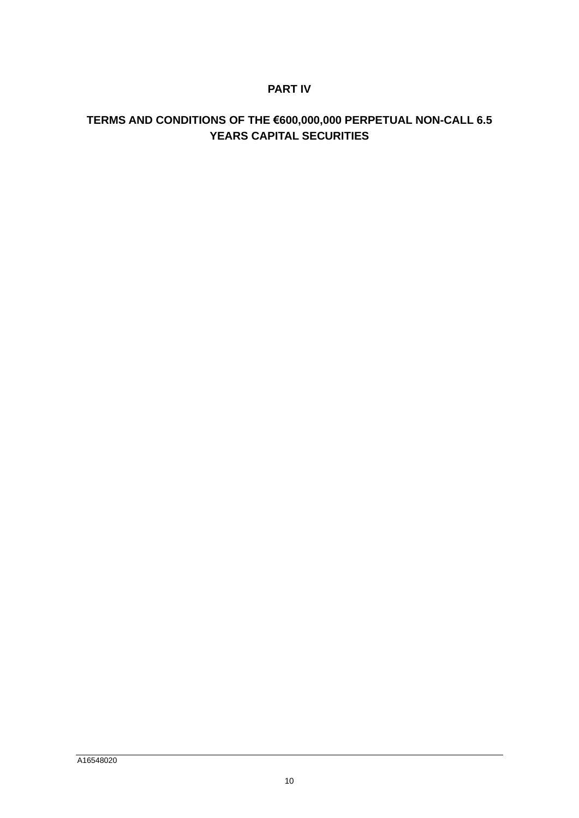# **PART IV**

# **TERMS AND CONDITIONS OF THE €600,000,000 PERPETUAL NON-CALL 6.5 YEARS CAPITAL SECURITIES**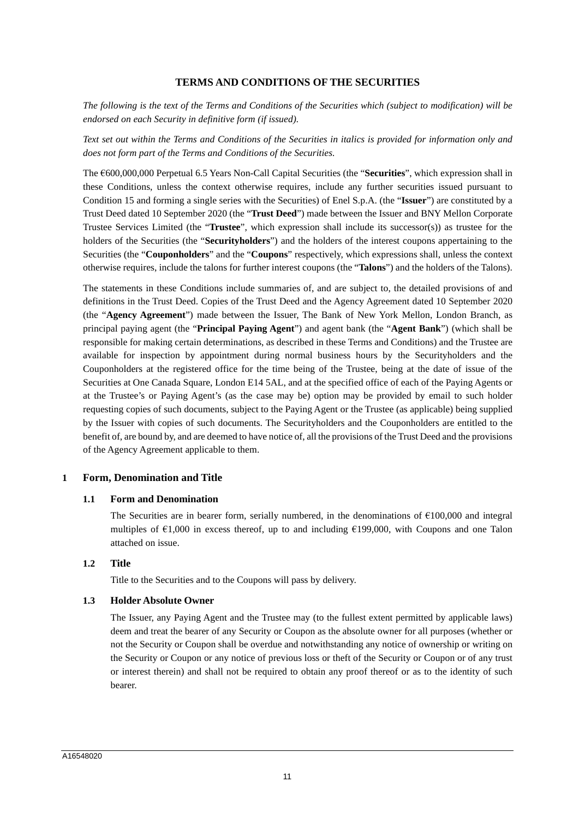## **TERMS AND CONDITIONS OF THE SECURITIES**

*The following is the text of the Terms and Conditions of the Securities which (subject to modification) will be endorsed on each Security in definitive form (if issued).* 

*Text set out within the Terms and Conditions of the Securities in italics is provided for information only and does not form part of the Terms and Conditions of the Securities.* 

The €600,000,000 Perpetual 6.5 Years Non-Call Capital Securities (the "**Securities**", which expression shall in these Conditions, unless the context otherwise requires, include any further securities issued pursuant to Condition 15 and forming a single series with the Securities) of Enel S.p.A. (the "**Issuer**") are constituted by a Trust Deed dated 10 September 2020 (the "**Trust Deed**") made between the Issuer and BNY Mellon Corporate Trustee Services Limited (the "**Trustee**", which expression shall include its successor(s)) as trustee for the holders of the Securities (the "**Securityholders**") and the holders of the interest coupons appertaining to the Securities (the "**Couponholders**" and the "**Coupons**" respectively, which expressions shall, unless the context otherwise requires, include the talons for further interest coupons (the "**Talons**") and the holders of the Talons).

The statements in these Conditions include summaries of, and are subject to, the detailed provisions of and definitions in the Trust Deed. Copies of the Trust Deed and the Agency Agreement dated 10 September 2020 (the "**Agency Agreement**") made between the Issuer, The Bank of New York Mellon, London Branch, as principal paying agent (the "**Principal Paying Agent**") and agent bank (the "**Agent Bank**") (which shall be responsible for making certain determinations, as described in these Terms and Conditions) and the Trustee are available for inspection by appointment during normal business hours by the Securityholders and the Couponholders at the registered office for the time being of the Trustee, being at the date of issue of the Securities at One Canada Square, London E14 5AL, and at the specified office of each of the Paying Agents or at the Trustee's or Paying Agent's (as the case may be) option may be provided by email to such holder requesting copies of such documents, subject to the Paying Agent or the Trustee (as applicable) being supplied by the Issuer with copies of such documents. The Securityholders and the Couponholders are entitled to the benefit of, are bound by, and are deemed to have notice of, all the provisions of the Trust Deed and the provisions of the Agency Agreement applicable to them.

#### **1 Form, Denomination and Title**

#### **1.1 Form and Denomination**

The Securities are in bearer form, serially numbered, in the denominations of  $\epsilon$ 100,000 and integral multiples of  $\epsilon$ 1,000 in excess thereof, up to and including  $\epsilon$ 199,000, with Coupons and one Talon attached on issue.

#### **1.2 Title**

Title to the Securities and to the Coupons will pass by delivery.

#### **1.3 Holder Absolute Owner**

The Issuer, any Paying Agent and the Trustee may (to the fullest extent permitted by applicable laws) deem and treat the bearer of any Security or Coupon as the absolute owner for all purposes (whether or not the Security or Coupon shall be overdue and notwithstanding any notice of ownership or writing on the Security or Coupon or any notice of previous loss or theft of the Security or Coupon or of any trust or interest therein) and shall not be required to obtain any proof thereof or as to the identity of such bearer.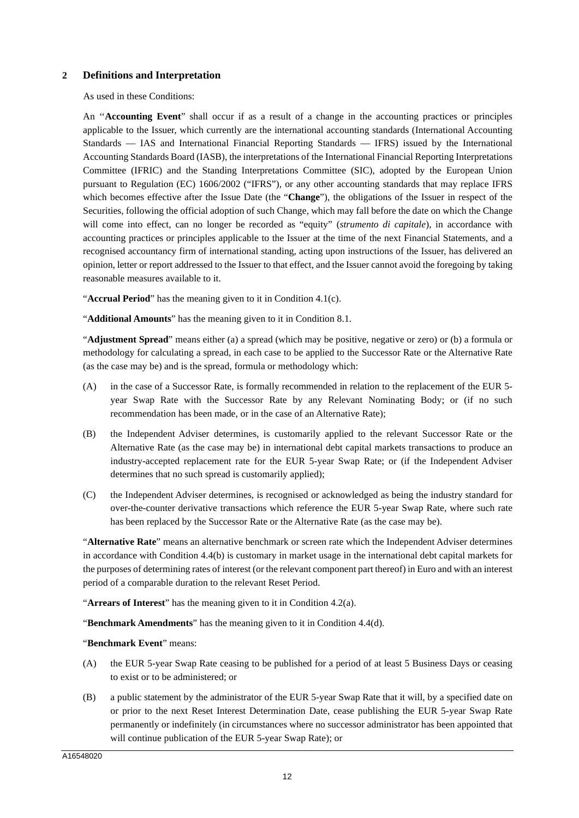## **2 Definitions and Interpretation**

As used in these Conditions:

An ''**Accounting Event**" shall occur if as a result of a change in the accounting practices or principles applicable to the Issuer, which currently are the international accounting standards (International Accounting Standards — IAS and International Financial Reporting Standards — IFRS) issued by the International Accounting Standards Board (IASB), the interpretations of the International Financial Reporting Interpretations Committee (IFRIC) and the Standing Interpretations Committee (SIC), adopted by the European Union pursuant to Regulation (EC) 1606/2002 ("IFRS"), or any other accounting standards that may replace IFRS which becomes effective after the Issue Date (the "**Change**"), the obligations of the Issuer in respect of the Securities, following the official adoption of such Change, which may fall before the date on which the Change will come into effect, can no longer be recorded as "equity" (*strumento di capitale*), in accordance with accounting practices or principles applicable to the Issuer at the time of the next Financial Statements, and a recognised accountancy firm of international standing, acting upon instructions of the Issuer, has delivered an opinion, letter or report addressed to the Issuer to that effect, and the Issuer cannot avoid the foregoing by taking reasonable measures available to it.

"**Accrual Period**" has the meaning given to it in Condition 4.1(c).

"**Additional Amounts**" has the meaning given to it in Condition 8.1.

"**Adjustment Spread**" means either (a) a spread (which may be positive, negative or zero) or (b) a formula or methodology for calculating a spread, in each case to be applied to the Successor Rate or the Alternative Rate (as the case may be) and is the spread, formula or methodology which:

- (A) in the case of a Successor Rate, is formally recommended in relation to the replacement of the EUR 5 year Swap Rate with the Successor Rate by any Relevant Nominating Body; or (if no such recommendation has been made, or in the case of an Alternative Rate);
- (B) the Independent Adviser determines, is customarily applied to the relevant Successor Rate or the Alternative Rate (as the case may be) in international debt capital markets transactions to produce an industry-accepted replacement rate for the EUR 5-year Swap Rate; or (if the Independent Adviser determines that no such spread is customarily applied);
- (C) the Independent Adviser determines, is recognised or acknowledged as being the industry standard for over-the-counter derivative transactions which reference the EUR 5-year Swap Rate, where such rate has been replaced by the Successor Rate or the Alternative Rate (as the case may be).

"**Alternative Rate**" means an alternative benchmark or screen rate which the Independent Adviser determines in accordance with Condition 4.4(b) is customary in market usage in the international debt capital markets for the purposes of determining rates of interest (or the relevant component part thereof) in Euro and with an interest period of a comparable duration to the relevant Reset Period.

"**Arrears of Interest**" has the meaning given to it in Condition 4.2(a).

"**Benchmark Amendments**" has the meaning given to it in Condition 4.4(d).

"**Benchmark Event**" means:

- (A) the EUR 5-year Swap Rate ceasing to be published for a period of at least 5 Business Days or ceasing to exist or to be administered; or
- (B) a public statement by the administrator of the EUR 5-year Swap Rate that it will, by a specified date on or prior to the next Reset Interest Determination Date, cease publishing the EUR 5-year Swap Rate permanently or indefinitely (in circumstances where no successor administrator has been appointed that will continue publication of the EUR 5-year Swap Rate); or

A16548020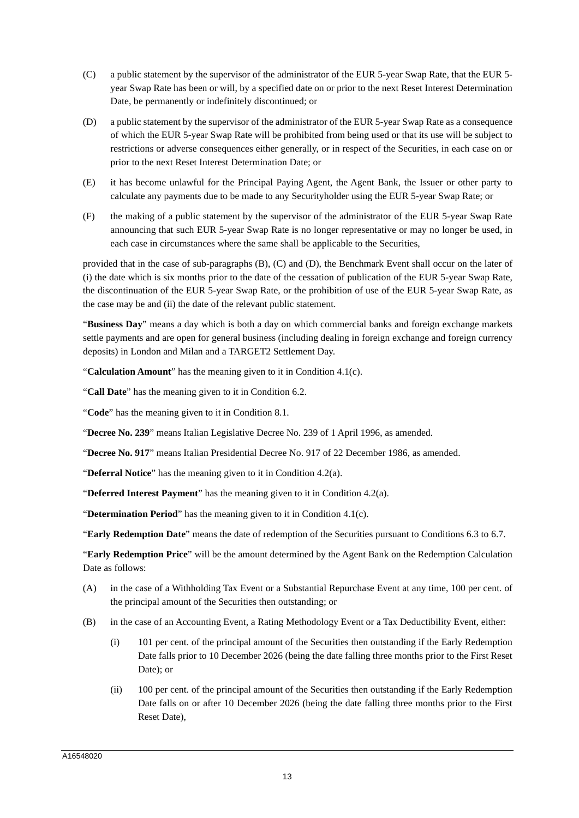- (C) a public statement by the supervisor of the administrator of the EUR 5-year Swap Rate, that the EUR 5 year Swap Rate has been or will, by a specified date on or prior to the next Reset Interest Determination Date, be permanently or indefinitely discontinued; or
- (D) a public statement by the supervisor of the administrator of the EUR 5-year Swap Rate as a consequence of which the EUR 5-year Swap Rate will be prohibited from being used or that its use will be subject to restrictions or adverse consequences either generally, or in respect of the Securities, in each case on or prior to the next Reset Interest Determination Date; or
- (E) it has become unlawful for the Principal Paying Agent, the Agent Bank, the Issuer or other party to calculate any payments due to be made to any Securityholder using the EUR 5-year Swap Rate; or
- (F) the making of a public statement by the supervisor of the administrator of the EUR 5-year Swap Rate announcing that such EUR 5-year Swap Rate is no longer representative or may no longer be used, in each case in circumstances where the same shall be applicable to the Securities,

provided that in the case of sub-paragraphs (B), (C) and (D), the Benchmark Event shall occur on the later of (i) the date which is six months prior to the date of the cessation of publication of the EUR 5-year Swap Rate, the discontinuation of the EUR 5-year Swap Rate, or the prohibition of use of the EUR 5-year Swap Rate, as the case may be and (ii) the date of the relevant public statement.

"**Business Day**" means a day which is both a day on which commercial banks and foreign exchange markets settle payments and are open for general business (including dealing in foreign exchange and foreign currency deposits) in London and Milan and a TARGET2 Settlement Day.

"**Calculation Amount**" has the meaning given to it in Condition 4.1(c).

"**Call Date**" has the meaning given to it in Condition 6.2.

"**Code**" has the meaning given to it in Condition 8.1.

"**Decree No. 239**" means Italian Legislative Decree No. 239 of 1 April 1996, as amended.

"**Decree No. 917**" means Italian Presidential Decree No. 917 of 22 December 1986, as amended.

"**Deferral Notice**" has the meaning given to it in Condition 4.2(a).

"**Deferred Interest Payment**" has the meaning given to it in Condition 4.2(a).

"**Determination Period**" has the meaning given to it in Condition 4.1(c).

"**Early Redemption Date**" means the date of redemption of the Securities pursuant to Conditions 6.3 to 6.7.

"**Early Redemption Price**" will be the amount determined by the Agent Bank on the Redemption Calculation Date as follows:

- (A) in the case of a Withholding Tax Event or a Substantial Repurchase Event at any time, 100 per cent. of the principal amount of the Securities then outstanding; or
- (B) in the case of an Accounting Event, a Rating Methodology Event or a Tax Deductibility Event, either:
	- (i) 101 per cent. of the principal amount of the Securities then outstanding if the Early Redemption Date falls prior to 10 December 2026 (being the date falling three months prior to the First Reset Date); or
	- (ii) 100 per cent. of the principal amount of the Securities then outstanding if the Early Redemption Date falls on or after 10 December 2026 (being the date falling three months prior to the First Reset Date),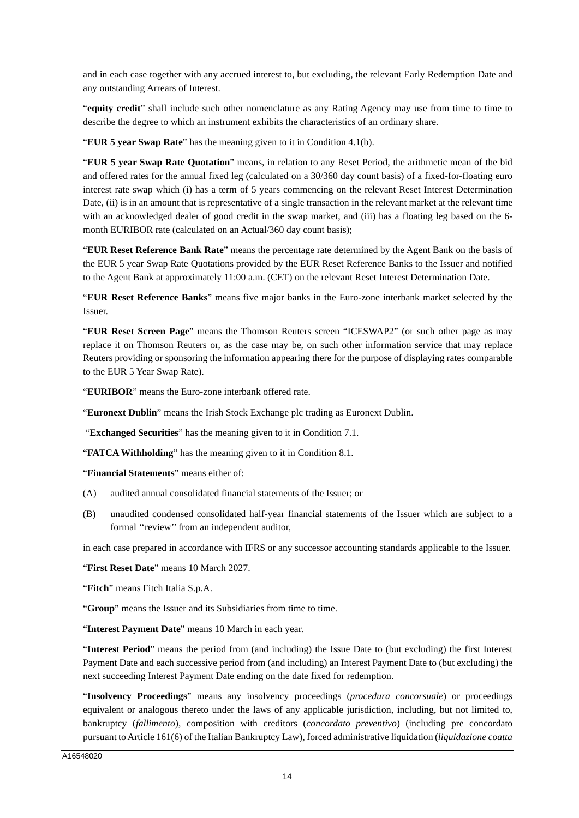and in each case together with any accrued interest to, but excluding, the relevant Early Redemption Date and any outstanding Arrears of Interest.

"**equity credit**" shall include such other nomenclature as any Rating Agency may use from time to time to describe the degree to which an instrument exhibits the characteristics of an ordinary share.

"**EUR 5 year Swap Rate**" has the meaning given to it in Condition 4.1(b).

"**EUR 5 year Swap Rate Quotation**" means, in relation to any Reset Period, the arithmetic mean of the bid and offered rates for the annual fixed leg (calculated on a 30/360 day count basis) of a fixed-for-floating euro interest rate swap which (i) has a term of 5 years commencing on the relevant Reset Interest Determination Date, (ii) is in an amount that is representative of a single transaction in the relevant market at the relevant time with an acknowledged dealer of good credit in the swap market, and (iii) has a floating leg based on the 6 month EURIBOR rate (calculated on an Actual/360 day count basis);

"**EUR Reset Reference Bank Rate**" means the percentage rate determined by the Agent Bank on the basis of the EUR 5 year Swap Rate Quotations provided by the EUR Reset Reference Banks to the Issuer and notified to the Agent Bank at approximately 11:00 a.m. (CET) on the relevant Reset Interest Determination Date.

"**EUR Reset Reference Banks**" means five major banks in the Euro-zone interbank market selected by the Issuer.

"**EUR Reset Screen Page**" means the Thomson Reuters screen "ICESWAP2" (or such other page as may replace it on Thomson Reuters or, as the case may be, on such other information service that may replace Reuters providing or sponsoring the information appearing there for the purpose of displaying rates comparable to the EUR 5 Year Swap Rate).

"**EURIBOR**" means the Euro-zone interbank offered rate.

"**Euronext Dublin**" means the Irish Stock Exchange plc trading as Euronext Dublin.

"**Exchanged Securities**" has the meaning given to it in Condition 7.1.

"**FATCA Withholding**" has the meaning given to it in Condition 8.1.

"**Financial Statements**" means either of:

- (A) audited annual consolidated financial statements of the Issuer; or
- (B) unaudited condensed consolidated half-year financial statements of the Issuer which are subject to a formal ''review'' from an independent auditor,

in each case prepared in accordance with IFRS or any successor accounting standards applicable to the Issuer.

"**First Reset Date**" means 10 March 2027.

"**Fitch**" means Fitch Italia S.p.A.

"**Group**" means the Issuer and its Subsidiaries from time to time.

"**Interest Payment Date**" means 10 March in each year.

"**Interest Period**" means the period from (and including) the Issue Date to (but excluding) the first Interest Payment Date and each successive period from (and including) an Interest Payment Date to (but excluding) the next succeeding Interest Payment Date ending on the date fixed for redemption.

"**Insolvency Proceedings**" means any insolvency proceedings (*procedura concorsuale*) or proceedings equivalent or analogous thereto under the laws of any applicable jurisdiction, including, but not limited to, bankruptcy (*fallimento*), composition with creditors (*concordato preventivo*) (including pre concordato pursuant to Article 161(6) of the Italian Bankruptcy Law), forced administrative liquidation (*liquidazione coatta*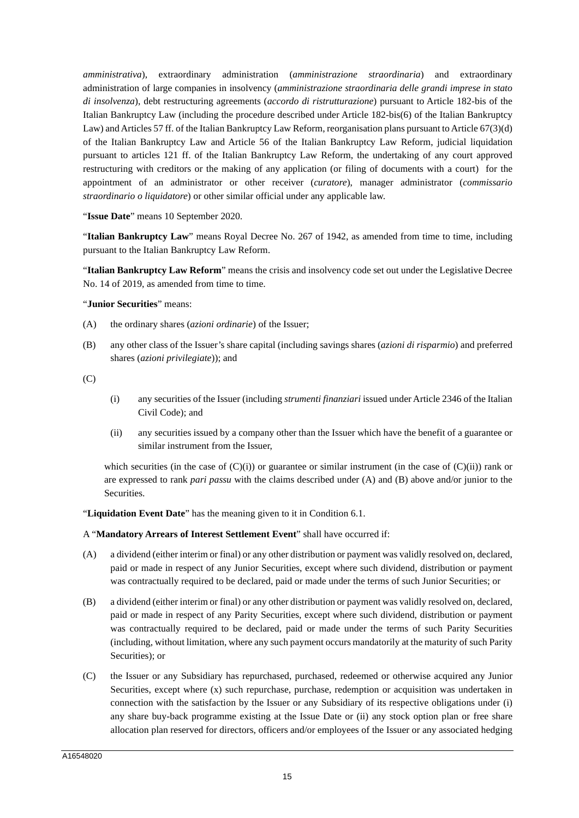*amministrativa*), extraordinary administration (*amministrazione straordinaria*) and extraordinary administration of large companies in insolvency (*amministrazione straordinaria delle grandi imprese in stato di insolvenza*), debt restructuring agreements (*accordo di ristrutturazione*) pursuant to Article 182-bis of the Italian Bankruptcy Law (including the procedure described under Article 182-bis(6) of the Italian Bankruptcy Law) and Articles 57 ff. of the Italian Bankruptcy Law Reform, reorganisation plans pursuant to Article 67(3)(d) of the Italian Bankruptcy Law and Article 56 of the Italian Bankruptcy Law Reform, judicial liquidation pursuant to articles 121 ff. of the Italian Bankruptcy Law Reform, the undertaking of any court approved restructuring with creditors or the making of any application (or filing of documents with a court) for the appointment of an administrator or other receiver (*curatore*), manager administrator (*commissario straordinario o liquidatore*) or other similar official under any applicable law.

"**Issue Date**" means 10 September 2020.

"**Italian Bankruptcy Law**" means Royal Decree No. 267 of 1942, as amended from time to time, including pursuant to the Italian Bankruptcy Law Reform.

"**Italian Bankruptcy Law Reform**" means the crisis and insolvency code set out under the Legislative Decree No. 14 of 2019, as amended from time to time.

#### "**Junior Securities**" means:

- (A) the ordinary shares (*azioni ordinarie*) of the Issuer;
- (B) any other class of the Issuer's share capital (including savings shares (*azioni di risparmio*) and preferred shares (*azioni privilegiate*)); and

 $(C)$ 

- (i) any securities of the Issuer (including *strumenti finanziari* issued under Article 2346 of the Italian Civil Code); and
- (ii) any securities issued by a company other than the Issuer which have the benefit of a guarantee or similar instrument from the Issuer,

which securities (in the case of  $(C)(i)$ ) or guarantee or similar instrument (in the case of  $(C)(ii)$ ) rank or are expressed to rank *pari passu* with the claims described under (A) and (B) above and/or junior to the Securities.

"**Liquidation Event Date**" has the meaning given to it in Condition 6.1.

A "**Mandatory Arrears of Interest Settlement Event**" shall have occurred if:

- (A) a dividend (either interim or final) or any other distribution or payment was validly resolved on, declared, paid or made in respect of any Junior Securities, except where such dividend, distribution or payment was contractually required to be declared, paid or made under the terms of such Junior Securities; or
- (B) a dividend (either interim or final) or any other distribution or payment was validly resolved on, declared, paid or made in respect of any Parity Securities, except where such dividend, distribution or payment was contractually required to be declared, paid or made under the terms of such Parity Securities (including, without limitation, where any such payment occurs mandatorily at the maturity of such Parity Securities): or
- (C) the Issuer or any Subsidiary has repurchased, purchased, redeemed or otherwise acquired any Junior Securities, except where (x) such repurchase, purchase, redemption or acquisition was undertaken in connection with the satisfaction by the Issuer or any Subsidiary of its respective obligations under (i) any share buy-back programme existing at the Issue Date or (ii) any stock option plan or free share allocation plan reserved for directors, officers and/or employees of the Issuer or any associated hedging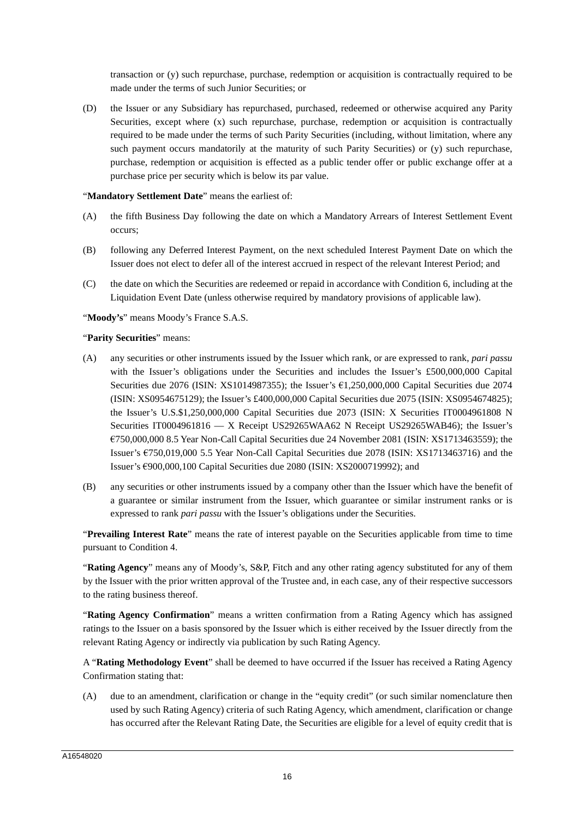transaction or (y) such repurchase, purchase, redemption or acquisition is contractually required to be made under the terms of such Junior Securities; or

(D) the Issuer or any Subsidiary has repurchased, purchased, redeemed or otherwise acquired any Parity Securities, except where (x) such repurchase, purchase, redemption or acquisition is contractually required to be made under the terms of such Parity Securities (including, without limitation, where any such payment occurs mandatorily at the maturity of such Parity Securities) or (y) such repurchase, purchase, redemption or acquisition is effected as a public tender offer or public exchange offer at a purchase price per security which is below its par value.

#### "Mandatory Settlement Date" means the earliest of:

- (A) the fifth Business Day following the date on which a Mandatory Arrears of Interest Settlement Event occurs;
- (B) following any Deferred Interest Payment, on the next scheduled Interest Payment Date on which the Issuer does not elect to defer all of the interest accrued in respect of the relevant Interest Period; and
- (C) the date on which the Securities are redeemed or repaid in accordance with Condition 6, including at the Liquidation Event Date (unless otherwise required by mandatory provisions of applicable law).
- "**Moody's**" means Moody's France S.A.S.

#### "**Parity Securities**" means:

- (A) any securities or other instruments issued by the Issuer which rank, or are expressed to rank, *pari passu*  with the Issuer's obligations under the Securities and includes the Issuer's £500,000,000 Capital Securities due 2076 (ISIN: XS1014987355); the Issuer's €1,250,000,000 Capital Securities due 2074 (ISIN: XS0954675129); the Issuer's £400,000,000 Capital Securities due 2075 (ISIN: XS0954674825); the Issuer's U.S.\$1,250,000,000 Capital Securities due 2073 (ISIN: X Securities IT0004961808 N Securities IT0004961816 — X Receipt US29265WAA62 N Receipt US29265WAB46); the Issuer's €750,000,000 8.5 Year Non-Call Capital Securities due 24 November 2081 (ISIN: XS1713463559); the Issuer's €750,019,000 5.5 Year Non-Call Capital Securities due 2078 (ISIN: XS1713463716) and the Issuer's €900,000,100 Capital Securities due 2080 (ISIN: XS2000719992); and
- (B) any securities or other instruments issued by a company other than the Issuer which have the benefit of a guarantee or similar instrument from the Issuer, which guarantee or similar instrument ranks or is expressed to rank *pari passu* with the Issuer's obligations under the Securities.

"**Prevailing Interest Rate**" means the rate of interest payable on the Securities applicable from time to time pursuant to Condition 4.

"**Rating Agency**" means any of Moody's, S&P, Fitch and any other rating agency substituted for any of them by the Issuer with the prior written approval of the Trustee and, in each case, any of their respective successors to the rating business thereof.

"**Rating Agency Confirmation**" means a written confirmation from a Rating Agency which has assigned ratings to the Issuer on a basis sponsored by the Issuer which is either received by the Issuer directly from the relevant Rating Agency or indirectly via publication by such Rating Agency.

A "**Rating Methodology Event**" shall be deemed to have occurred if the Issuer has received a Rating Agency Confirmation stating that:

(A) due to an amendment, clarification or change in the "equity credit" (or such similar nomenclature then used by such Rating Agency) criteria of such Rating Agency, which amendment, clarification or change has occurred after the Relevant Rating Date, the Securities are eligible for a level of equity credit that is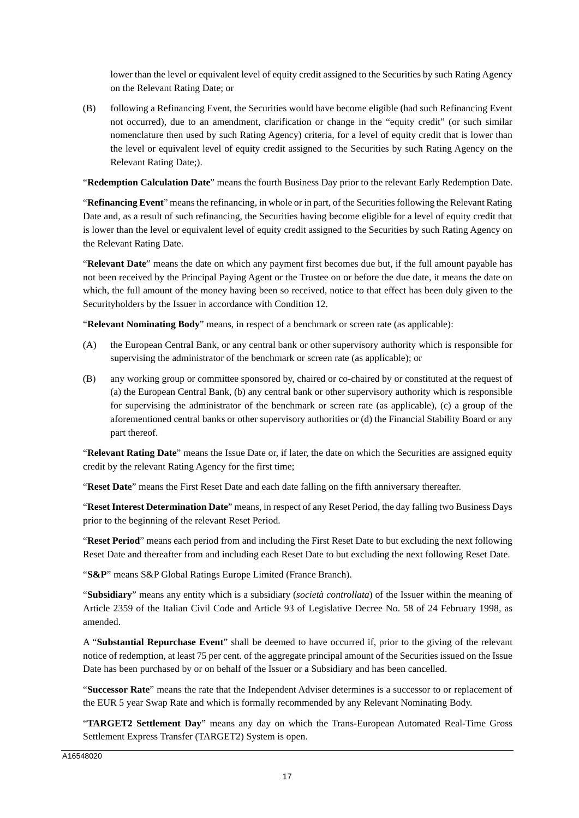lower than the level or equivalent level of equity credit assigned to the Securities by such Rating Agency on the Relevant Rating Date; or

(B) following a Refinancing Event, the Securities would have become eligible (had such Refinancing Event not occurred), due to an amendment, clarification or change in the "equity credit" (or such similar nomenclature then used by such Rating Agency) criteria, for a level of equity credit that is lower than the level or equivalent level of equity credit assigned to the Securities by such Rating Agency on the Relevant Rating Date;).

"**Redemption Calculation Date**" means the fourth Business Day prior to the relevant Early Redemption Date.

"**Refinancing Event**" means the refinancing, in whole or in part, of the Securities following the Relevant Rating Date and, as a result of such refinancing, the Securities having become eligible for a level of equity credit that is lower than the level or equivalent level of equity credit assigned to the Securities by such Rating Agency on the Relevant Rating Date.

"**Relevant Date**" means the date on which any payment first becomes due but, if the full amount payable has not been received by the Principal Paying Agent or the Trustee on or before the due date, it means the date on which, the full amount of the money having been so received, notice to that effect has been duly given to the Securityholders by the Issuer in accordance with Condition 12.

"**Relevant Nominating Body**" means, in respect of a benchmark or screen rate (as applicable):

- (A) the European Central Bank, or any central bank or other supervisory authority which is responsible for supervising the administrator of the benchmark or screen rate (as applicable); or
- (B) any working group or committee sponsored by, chaired or co-chaired by or constituted at the request of (a) the European Central Bank, (b) any central bank or other supervisory authority which is responsible for supervising the administrator of the benchmark or screen rate (as applicable), (c) a group of the aforementioned central banks or other supervisory authorities or (d) the Financial Stability Board or any part thereof.

"**Relevant Rating Date**" means the Issue Date or, if later, the date on which the Securities are assigned equity credit by the relevant Rating Agency for the first time;

"**Reset Date**" means the First Reset Date and each date falling on the fifth anniversary thereafter.

"**Reset Interest Determination Date**" means, in respect of any Reset Period, the day falling two Business Days prior to the beginning of the relevant Reset Period.

"**Reset Period**" means each period from and including the First Reset Date to but excluding the next following Reset Date and thereafter from and including each Reset Date to but excluding the next following Reset Date.

"**S&P**" means S&P Global Ratings Europe Limited (France Branch).

"**Subsidiary**" means any entity which is a subsidiary (*società controllata*) of the Issuer within the meaning of Article 2359 of the Italian Civil Code and Article 93 of Legislative Decree No. 58 of 24 February 1998, as amended.

A "**Substantial Repurchase Event**" shall be deemed to have occurred if, prior to the giving of the relevant notice of redemption, at least 75 per cent. of the aggregate principal amount of the Securities issued on the Issue Date has been purchased by or on behalf of the Issuer or a Subsidiary and has been cancelled.

"**Successor Rate**" means the rate that the Independent Adviser determines is a successor to or replacement of the EUR 5 year Swap Rate and which is formally recommended by any Relevant Nominating Body.

"**TARGET2 Settlement Day**" means any day on which the Trans-European Automated Real-Time Gross Settlement Express Transfer (TARGET2) System is open.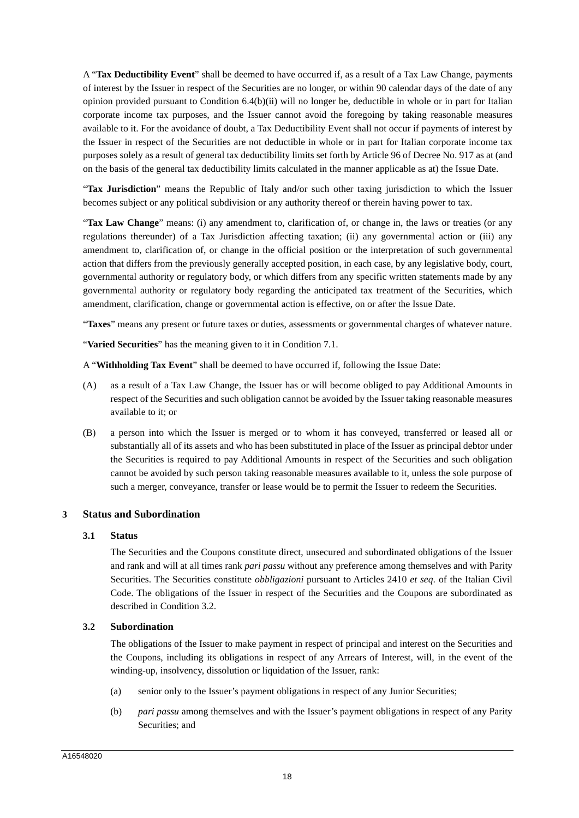A "**Tax Deductibility Event**" shall be deemed to have occurred if, as a result of a Tax Law Change, payments of interest by the Issuer in respect of the Securities are no longer, or within 90 calendar days of the date of any opinion provided pursuant to Condition 6.4(b)(ii) will no longer be, deductible in whole or in part for Italian corporate income tax purposes, and the Issuer cannot avoid the foregoing by taking reasonable measures available to it. For the avoidance of doubt, a Tax Deductibility Event shall not occur if payments of interest by the Issuer in respect of the Securities are not deductible in whole or in part for Italian corporate income tax purposes solely as a result of general tax deductibility limits set forth by Article 96 of Decree No. 917 as at (and on the basis of the general tax deductibility limits calculated in the manner applicable as at) the Issue Date.

"**Tax Jurisdiction**" means the Republic of Italy and/or such other taxing jurisdiction to which the Issuer becomes subject or any political subdivision or any authority thereof or therein having power to tax.

"**Tax Law Change**" means: (i) any amendment to, clarification of, or change in, the laws or treaties (or any regulations thereunder) of a Tax Jurisdiction affecting taxation; (ii) any governmental action or (iii) any amendment to, clarification of, or change in the official position or the interpretation of such governmental action that differs from the previously generally accepted position, in each case, by any legislative body, court, governmental authority or regulatory body, or which differs from any specific written statements made by any governmental authority or regulatory body regarding the anticipated tax treatment of the Securities, which amendment, clarification, change or governmental action is effective, on or after the Issue Date.

"**Taxes**" means any present or future taxes or duties, assessments or governmental charges of whatever nature.

"**Varied Securities**" has the meaning given to it in Condition 7.1.

A "**Withholding Tax Event**" shall be deemed to have occurred if, following the Issue Date:

- (A) as a result of a Tax Law Change, the Issuer has or will become obliged to pay Additional Amounts in respect of the Securities and such obligation cannot be avoided by the Issuer taking reasonable measures available to it; or
- (B) a person into which the Issuer is merged or to whom it has conveyed, transferred or leased all or substantially all of its assets and who has been substituted in place of the Issuer as principal debtor under the Securities is required to pay Additional Amounts in respect of the Securities and such obligation cannot be avoided by such person taking reasonable measures available to it, unless the sole purpose of such a merger, conveyance, transfer or lease would be to permit the Issuer to redeem the Securities.

## **3 Status and Subordination**

## **3.1 Status**

The Securities and the Coupons constitute direct, unsecured and subordinated obligations of the Issuer and rank and will at all times rank *pari passu* without any preference among themselves and with Parity Securities. The Securities constitute *obbligazioni* pursuant to Articles 2410 *et seq*. of the Italian Civil Code. The obligations of the Issuer in respect of the Securities and the Coupons are subordinated as described in Condition 3.2.

## **3.2 Subordination**

The obligations of the Issuer to make payment in respect of principal and interest on the Securities and the Coupons, including its obligations in respect of any Arrears of Interest, will, in the event of the winding-up, insolvency, dissolution or liquidation of the Issuer, rank:

- (a) senior only to the Issuer's payment obligations in respect of any Junior Securities;
- (b) *pari passu* among themselves and with the Issuer's payment obligations in respect of any Parity Securities; and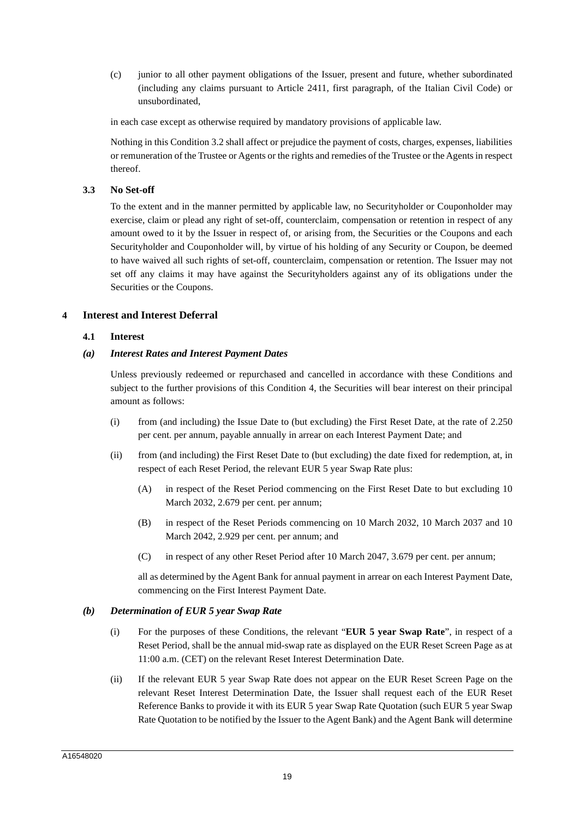(c) junior to all other payment obligations of the Issuer, present and future, whether subordinated (including any claims pursuant to Article 2411, first paragraph, of the Italian Civil Code) or unsubordinated,

in each case except as otherwise required by mandatory provisions of applicable law.

Nothing in this Condition 3.2 shall affect or prejudice the payment of costs, charges, expenses, liabilities or remuneration of the Trustee or Agents or the rights and remedies of the Trustee or the Agents in respect thereof.

## **3.3 No Set-off**

To the extent and in the manner permitted by applicable law, no Securityholder or Couponholder may exercise, claim or plead any right of set-off, counterclaim, compensation or retention in respect of any amount owed to it by the Issuer in respect of, or arising from, the Securities or the Coupons and each Securityholder and Couponholder will, by virtue of his holding of any Security or Coupon, be deemed to have waived all such rights of set-off, counterclaim, compensation or retention. The Issuer may not set off any claims it may have against the Securityholders against any of its obligations under the Securities or the Coupons.

## **4 Interest and Interest Deferral**

#### **4.1 Interest**

## *(a) Interest Rates and Interest Payment Dates*

Unless previously redeemed or repurchased and cancelled in accordance with these Conditions and subject to the further provisions of this Condition 4, the Securities will bear interest on their principal amount as follows:

- (i) from (and including) the Issue Date to (but excluding) the First Reset Date, at the rate of 2.250 per cent. per annum, payable annually in arrear on each Interest Payment Date; and
- (ii) from (and including) the First Reset Date to (but excluding) the date fixed for redemption, at, in respect of each Reset Period, the relevant EUR 5 year Swap Rate plus:
	- (A) in respect of the Reset Period commencing on the First Reset Date to but excluding 10 March 2032, 2.679 per cent. per annum;
	- (B) in respect of the Reset Periods commencing on 10 March 2032, 10 March 2037 and 10 March 2042, 2.929 per cent. per annum; and
	- (C) in respect of any other Reset Period after 10 March 2047, 3.679 per cent. per annum;

all as determined by the Agent Bank for annual payment in arrear on each Interest Payment Date, commencing on the First Interest Payment Date.

#### *(b) Determination of EUR 5 year Swap Rate*

- (i) For the purposes of these Conditions, the relevant "**EUR 5 year Swap Rate**", in respect of a Reset Period, shall be the annual mid-swap rate as displayed on the EUR Reset Screen Page as at 11:00 a.m. (CET) on the relevant Reset Interest Determination Date.
- (ii) If the relevant EUR 5 year Swap Rate does not appear on the EUR Reset Screen Page on the relevant Reset Interest Determination Date, the Issuer shall request each of the EUR Reset Reference Banks to provide it with its EUR 5 year Swap Rate Quotation (such EUR 5 year Swap Rate Quotation to be notified by the Issuer to the Agent Bank) and the Agent Bank will determine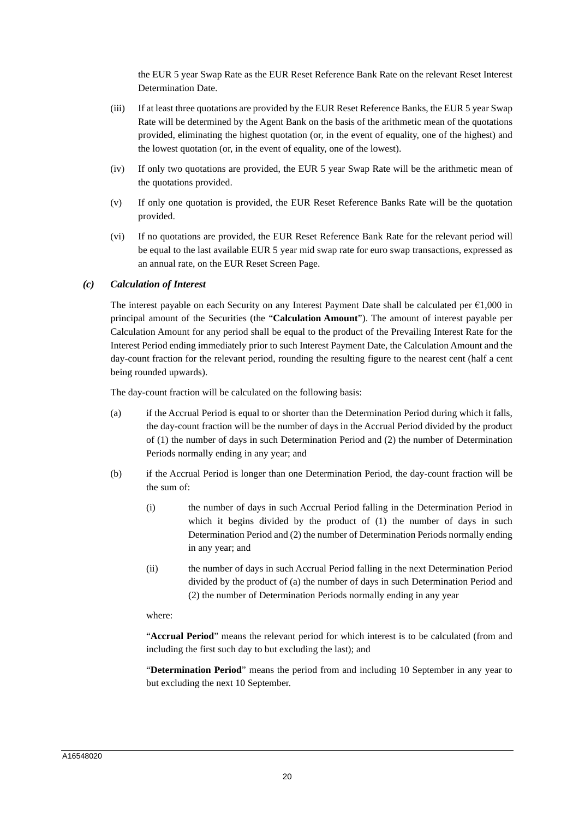the EUR 5 year Swap Rate as the EUR Reset Reference Bank Rate on the relevant Reset Interest Determination Date.

- (iii) If at least three quotations are provided by the EUR Reset Reference Banks, the EUR 5 year Swap Rate will be determined by the Agent Bank on the basis of the arithmetic mean of the quotations provided, eliminating the highest quotation (or, in the event of equality, one of the highest) and the lowest quotation (or, in the event of equality, one of the lowest).
- (iv) If only two quotations are provided, the EUR 5 year Swap Rate will be the arithmetic mean of the quotations provided.
- (v) If only one quotation is provided, the EUR Reset Reference Banks Rate will be the quotation provided.
- (vi) If no quotations are provided, the EUR Reset Reference Bank Rate for the relevant period will be equal to the last available EUR 5 year mid swap rate for euro swap transactions, expressed as an annual rate, on the EUR Reset Screen Page.

#### *(c) Calculation of Interest*

The interest payable on each Security on any Interest Payment Date shall be calculated per  $\epsilon$ 1,000 in principal amount of the Securities (the "**Calculation Amount**"). The amount of interest payable per Calculation Amount for any period shall be equal to the product of the Prevailing Interest Rate for the Interest Period ending immediately prior to such Interest Payment Date, the Calculation Amount and the day-count fraction for the relevant period, rounding the resulting figure to the nearest cent (half a cent being rounded upwards).

The day-count fraction will be calculated on the following basis:

- (a) if the Accrual Period is equal to or shorter than the Determination Period during which it falls, the day-count fraction will be the number of days in the Accrual Period divided by the product of (1) the number of days in such Determination Period and (2) the number of Determination Periods normally ending in any year; and
- (b) if the Accrual Period is longer than one Determination Period, the day-count fraction will be the sum of:
	- (i) the number of days in such Accrual Period falling in the Determination Period in which it begins divided by the product of (1) the number of days in such Determination Period and (2) the number of Determination Periods normally ending in any year; and
	- (ii) the number of days in such Accrual Period falling in the next Determination Period divided by the product of (a) the number of days in such Determination Period and (2) the number of Determination Periods normally ending in any year

#### where:

"**Accrual Period**" means the relevant period for which interest is to be calculated (from and including the first such day to but excluding the last); and

"**Determination Period**" means the period from and including 10 September in any year to but excluding the next 10 September.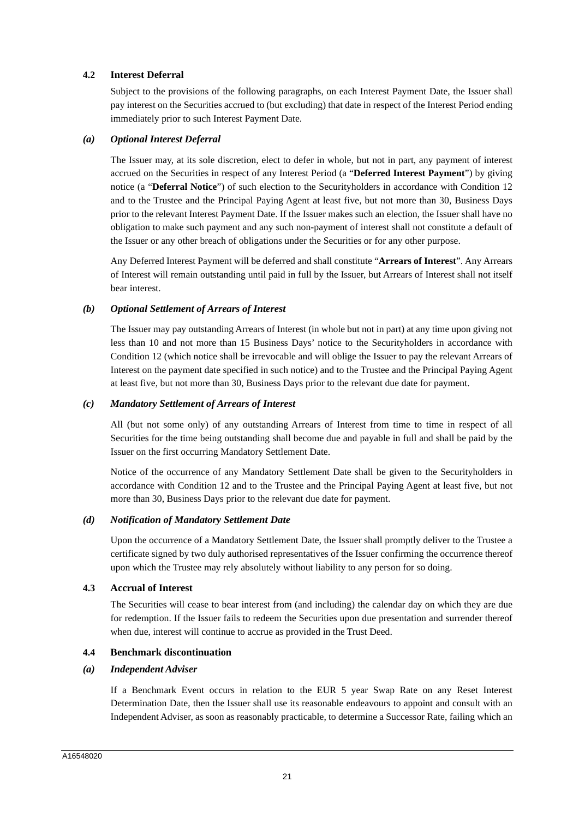## **4.2 Interest Deferral**

Subject to the provisions of the following paragraphs, on each Interest Payment Date, the Issuer shall pay interest on the Securities accrued to (but excluding) that date in respect of the Interest Period ending immediately prior to such Interest Payment Date.

#### *(a) Optional Interest Deferral*

The Issuer may, at its sole discretion, elect to defer in whole, but not in part, any payment of interest accrued on the Securities in respect of any Interest Period (a "**Deferred Interest Payment**") by giving notice (a "**Deferral Notice**") of such election to the Securityholders in accordance with Condition 12 and to the Trustee and the Principal Paying Agent at least five, but not more than 30, Business Days prior to the relevant Interest Payment Date. If the Issuer makes such an election, the Issuer shall have no obligation to make such payment and any such non-payment of interest shall not constitute a default of the Issuer or any other breach of obligations under the Securities or for any other purpose.

Any Deferred Interest Payment will be deferred and shall constitute "**Arrears of Interest**". Any Arrears of Interest will remain outstanding until paid in full by the Issuer, but Arrears of Interest shall not itself bear interest.

#### *(b) Optional Settlement of Arrears of Interest*

The Issuer may pay outstanding Arrears of Interest (in whole but not in part) at any time upon giving not less than 10 and not more than 15 Business Days' notice to the Securityholders in accordance with Condition 12 (which notice shall be irrevocable and will oblige the Issuer to pay the relevant Arrears of Interest on the payment date specified in such notice) and to the Trustee and the Principal Paying Agent at least five, but not more than 30, Business Days prior to the relevant due date for payment.

#### *(c) Mandatory Settlement of Arrears of Interest*

All (but not some only) of any outstanding Arrears of Interest from time to time in respect of all Securities for the time being outstanding shall become due and payable in full and shall be paid by the Issuer on the first occurring Mandatory Settlement Date.

Notice of the occurrence of any Mandatory Settlement Date shall be given to the Securityholders in accordance with Condition 12 and to the Trustee and the Principal Paying Agent at least five, but not more than 30, Business Days prior to the relevant due date for payment.

#### *(d) Notification of Mandatory Settlement Date*

Upon the occurrence of a Mandatory Settlement Date, the Issuer shall promptly deliver to the Trustee a certificate signed by two duly authorised representatives of the Issuer confirming the occurrence thereof upon which the Trustee may rely absolutely without liability to any person for so doing.

## **4.3 Accrual of Interest**

The Securities will cease to bear interest from (and including) the calendar day on which they are due for redemption. If the Issuer fails to redeem the Securities upon due presentation and surrender thereof when due, interest will continue to accrue as provided in the Trust Deed.

## **4.4 Benchmark discontinuation**

## *(a) Independent Adviser*

If a Benchmark Event occurs in relation to the EUR 5 year Swap Rate on any Reset Interest Determination Date, then the Issuer shall use its reasonable endeavours to appoint and consult with an Independent Adviser, as soon as reasonably practicable, to determine a Successor Rate, failing which an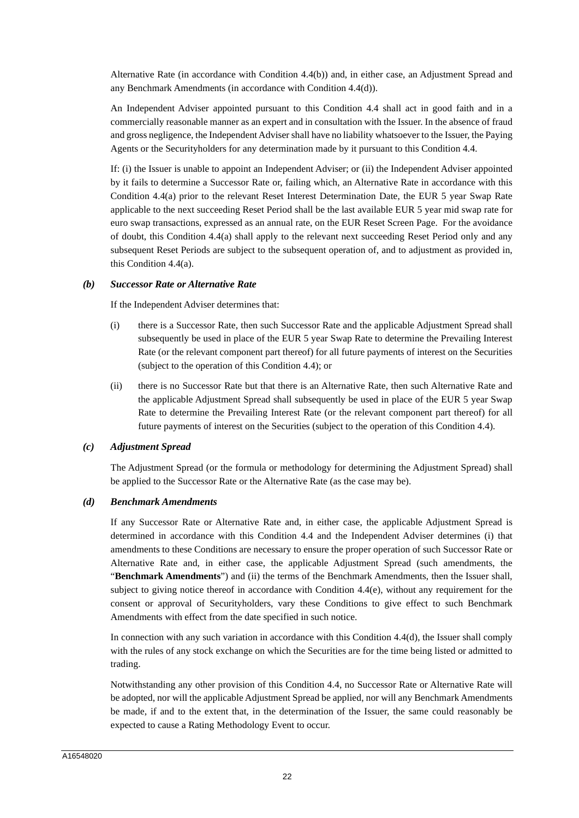Alternative Rate (in accordance with Condition 4.4(b)) and, in either case, an Adjustment Spread and any Benchmark Amendments (in accordance with Condition 4.4(d)).

An Independent Adviser appointed pursuant to this Condition 4.4 shall act in good faith and in a commercially reasonable manner as an expert and in consultation with the Issuer. In the absence of fraud and gross negligence, the Independent Adviser shall have no liability whatsoever to the Issuer, the Paying Agents or the Securityholders for any determination made by it pursuant to this Condition 4.4.

If: (i) the Issuer is unable to appoint an Independent Adviser; or (ii) the Independent Adviser appointed by it fails to determine a Successor Rate or, failing which, an Alternative Rate in accordance with this Condition 4.4(a) prior to the relevant Reset Interest Determination Date, the EUR 5 year Swap Rate applicable to the next succeeding Reset Period shall be the last available EUR 5 year mid swap rate for euro swap transactions, expressed as an annual rate, on the EUR Reset Screen Page. For the avoidance of doubt, this Condition 4.4(a) shall apply to the relevant next succeeding Reset Period only and any subsequent Reset Periods are subject to the subsequent operation of, and to adjustment as provided in, this Condition 4.4(a).

## *(b) Successor Rate or Alternative Rate*

If the Independent Adviser determines that:

- (i) there is a Successor Rate, then such Successor Rate and the applicable Adjustment Spread shall subsequently be used in place of the EUR 5 year Swap Rate to determine the Prevailing Interest Rate (or the relevant component part thereof) for all future payments of interest on the Securities (subject to the operation of this Condition 4.4); or
- (ii) there is no Successor Rate but that there is an Alternative Rate, then such Alternative Rate and the applicable Adjustment Spread shall subsequently be used in place of the EUR 5 year Swap Rate to determine the Prevailing Interest Rate (or the relevant component part thereof) for all future payments of interest on the Securities (subject to the operation of this Condition 4.4).

#### *(c) Adjustment Spread*

The Adjustment Spread (or the formula or methodology for determining the Adjustment Spread) shall be applied to the Successor Rate or the Alternative Rate (as the case may be).

## *(d) Benchmark Amendments*

If any Successor Rate or Alternative Rate and, in either case, the applicable Adjustment Spread is determined in accordance with this Condition 4.4 and the Independent Adviser determines (i) that amendments to these Conditions are necessary to ensure the proper operation of such Successor Rate or Alternative Rate and, in either case, the applicable Adjustment Spread (such amendments, the "**Benchmark Amendments**") and (ii) the terms of the Benchmark Amendments, then the Issuer shall, subject to giving notice thereof in accordance with Condition 4.4(e), without any requirement for the consent or approval of Securityholders, vary these Conditions to give effect to such Benchmark Amendments with effect from the date specified in such notice.

In connection with any such variation in accordance with this Condition 4.4(d), the Issuer shall comply with the rules of any stock exchange on which the Securities are for the time being listed or admitted to trading.

Notwithstanding any other provision of this Condition 4.4, no Successor Rate or Alternative Rate will be adopted, nor will the applicable Adjustment Spread be applied, nor will any Benchmark Amendments be made, if and to the extent that, in the determination of the Issuer, the same could reasonably be expected to cause a Rating Methodology Event to occur.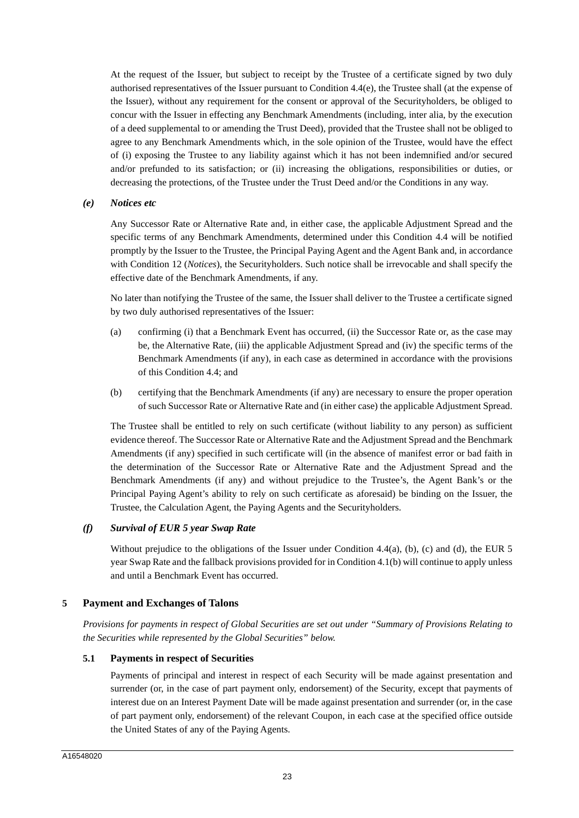At the request of the Issuer, but subject to receipt by the Trustee of a certificate signed by two duly authorised representatives of the Issuer pursuant to Condition 4.4(e), the Trustee shall (at the expense of the Issuer), without any requirement for the consent or approval of the Securityholders, be obliged to concur with the Issuer in effecting any Benchmark Amendments (including, inter alia, by the execution of a deed supplemental to or amending the Trust Deed), provided that the Trustee shall not be obliged to agree to any Benchmark Amendments which, in the sole opinion of the Trustee, would have the effect of (i) exposing the Trustee to any liability against which it has not been indemnified and/or secured and/or prefunded to its satisfaction; or (ii) increasing the obligations, responsibilities or duties, or decreasing the protections, of the Trustee under the Trust Deed and/or the Conditions in any way.

#### *(e) Notices etc*

Any Successor Rate or Alternative Rate and, in either case, the applicable Adjustment Spread and the specific terms of any Benchmark Amendments, determined under this Condition 4.4 will be notified promptly by the Issuer to the Trustee, the Principal Paying Agent and the Agent Bank and, in accordance with Condition 12 (*Notices*), the Securityholders. Such notice shall be irrevocable and shall specify the effective date of the Benchmark Amendments, if any.

No later than notifying the Trustee of the same, the Issuer shall deliver to the Trustee a certificate signed by two duly authorised representatives of the Issuer:

- (a) confirming (i) that a Benchmark Event has occurred, (ii) the Successor Rate or, as the case may be, the Alternative Rate, (iii) the applicable Adjustment Spread and (iv) the specific terms of the Benchmark Amendments (if any), in each case as determined in accordance with the provisions of this Condition 4.4; and
- (b) certifying that the Benchmark Amendments (if any) are necessary to ensure the proper operation of such Successor Rate or Alternative Rate and (in either case) the applicable Adjustment Spread.

The Trustee shall be entitled to rely on such certificate (without liability to any person) as sufficient evidence thereof. The Successor Rate or Alternative Rate and the Adjustment Spread and the Benchmark Amendments (if any) specified in such certificate will (in the absence of manifest error or bad faith in the determination of the Successor Rate or Alternative Rate and the Adjustment Spread and the Benchmark Amendments (if any) and without prejudice to the Trustee's, the Agent Bank's or the Principal Paying Agent's ability to rely on such certificate as aforesaid) be binding on the Issuer, the Trustee, the Calculation Agent, the Paying Agents and the Securityholders.

## *(f) Survival of EUR 5 year Swap Rate*

Without prejudice to the obligations of the Issuer under Condition 4.4(a), (b), (c) and (d), the EUR 5 year Swap Rate and the fallback provisions provided for in Condition 4.1(b) will continue to apply unless and until a Benchmark Event has occurred.

## **5 Payment and Exchanges of Talons**

*Provisions for payments in respect of Global Securities are set out under "Summary of Provisions Relating to the Securities while represented by the Global Securities" below.* 

## **5.1 Payments in respect of Securities**

Payments of principal and interest in respect of each Security will be made against presentation and surrender (or, in the case of part payment only, endorsement) of the Security, except that payments of interest due on an Interest Payment Date will be made against presentation and surrender (or, in the case of part payment only, endorsement) of the relevant Coupon, in each case at the specified office outside the United States of any of the Paying Agents.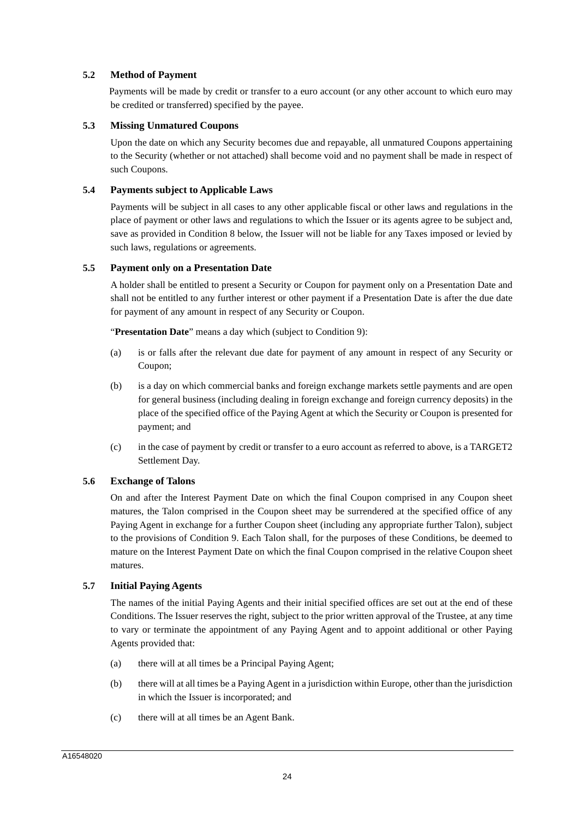## **5.2 Method of Payment**

Payments will be made by credit or transfer to a euro account (or any other account to which euro may be credited or transferred) specified by the payee.

#### **5.3 Missing Unmatured Coupons**

Upon the date on which any Security becomes due and repayable, all unmatured Coupons appertaining to the Security (whether or not attached) shall become void and no payment shall be made in respect of such Coupons.

#### **5.4 Payments subject to Applicable Laws**

Payments will be subject in all cases to any other applicable fiscal or other laws and regulations in the place of payment or other laws and regulations to which the Issuer or its agents agree to be subject and, save as provided in Condition 8 below, the Issuer will not be liable for any Taxes imposed or levied by such laws, regulations or agreements.

#### **5.5 Payment only on a Presentation Date**

A holder shall be entitled to present a Security or Coupon for payment only on a Presentation Date and shall not be entitled to any further interest or other payment if a Presentation Date is after the due date for payment of any amount in respect of any Security or Coupon.

"**Presentation Date**" means a day which (subject to Condition 9):

- (a) is or falls after the relevant due date for payment of any amount in respect of any Security or Coupon;
- (b) is a day on which commercial banks and foreign exchange markets settle payments and are open for general business (including dealing in foreign exchange and foreign currency deposits) in the place of the specified office of the Paying Agent at which the Security or Coupon is presented for payment; and
- (c) in the case of payment by credit or transfer to a euro account as referred to above, is a TARGET2 Settlement Day.

## **5.6 Exchange of Talons**

On and after the Interest Payment Date on which the final Coupon comprised in any Coupon sheet matures, the Talon comprised in the Coupon sheet may be surrendered at the specified office of any Paying Agent in exchange for a further Coupon sheet (including any appropriate further Talon), subject to the provisions of Condition 9. Each Talon shall, for the purposes of these Conditions, be deemed to mature on the Interest Payment Date on which the final Coupon comprised in the relative Coupon sheet matures.

## **5.7 Initial Paying Agents**

The names of the initial Paying Agents and their initial specified offices are set out at the end of these Conditions. The Issuer reserves the right, subject to the prior written approval of the Trustee, at any time to vary or terminate the appointment of any Paying Agent and to appoint additional or other Paying Agents provided that:

- (a) there will at all times be a Principal Paying Agent;
- (b) there will at all times be a Paying Agent in a jurisdiction within Europe, other than the jurisdiction in which the Issuer is incorporated; and
- (c) there will at all times be an Agent Bank.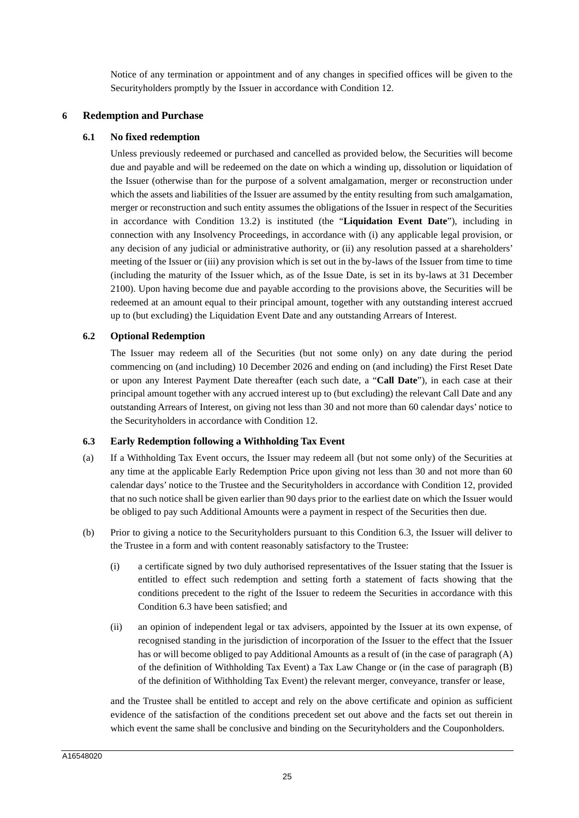Notice of any termination or appointment and of any changes in specified offices will be given to the Securityholders promptly by the Issuer in accordance with Condition 12.

## **6 Redemption and Purchase**

#### **6.1 No fixed redemption**

Unless previously redeemed or purchased and cancelled as provided below, the Securities will become due and payable and will be redeemed on the date on which a winding up, dissolution or liquidation of the Issuer (otherwise than for the purpose of a solvent amalgamation, merger or reconstruction under which the assets and liabilities of the Issuer are assumed by the entity resulting from such amalgamation, merger or reconstruction and such entity assumes the obligations of the Issuer in respect of the Securities in accordance with Condition 13.2) is instituted (the "**Liquidation Event Date**"), including in connection with any Insolvency Proceedings, in accordance with (i) any applicable legal provision, or any decision of any judicial or administrative authority, or (ii) any resolution passed at a shareholders' meeting of the Issuer or (iii) any provision which is set out in the by-laws of the Issuer from time to time (including the maturity of the Issuer which, as of the Issue Date, is set in its by-laws at 31 December 2100). Upon having become due and payable according to the provisions above, the Securities will be redeemed at an amount equal to their principal amount, together with any outstanding interest accrued up to (but excluding) the Liquidation Event Date and any outstanding Arrears of Interest.

#### **6.2 Optional Redemption**

The Issuer may redeem all of the Securities (but not some only) on any date during the period commencing on (and including) 10 December 2026 and ending on (and including) the First Reset Date or upon any Interest Payment Date thereafter (each such date, a "**Call Date**"), in each case at their principal amount together with any accrued interest up to (but excluding) the relevant Call Date and any outstanding Arrears of Interest, on giving not less than 30 and not more than 60 calendar days' notice to the Securityholders in accordance with Condition 12.

#### **6.3 Early Redemption following a Withholding Tax Event**

- (a) If a Withholding Tax Event occurs, the Issuer may redeem all (but not some only) of the Securities at any time at the applicable Early Redemption Price upon giving not less than 30 and not more than 60 calendar days' notice to the Trustee and the Securityholders in accordance with Condition 12, provided that no such notice shall be given earlier than 90 days prior to the earliest date on which the Issuer would be obliged to pay such Additional Amounts were a payment in respect of the Securities then due.
- (b) Prior to giving a notice to the Securityholders pursuant to this Condition 6.3, the Issuer will deliver to the Trustee in a form and with content reasonably satisfactory to the Trustee:
	- (i) a certificate signed by two duly authorised representatives of the Issuer stating that the Issuer is entitled to effect such redemption and setting forth a statement of facts showing that the conditions precedent to the right of the Issuer to redeem the Securities in accordance with this Condition 6.3 have been satisfied; and
	- (ii) an opinion of independent legal or tax advisers, appointed by the Issuer at its own expense, of recognised standing in the jurisdiction of incorporation of the Issuer to the effect that the Issuer has or will become obliged to pay Additional Amounts as a result of (in the case of paragraph (A) of the definition of Withholding Tax Event) a Tax Law Change or (in the case of paragraph (B) of the definition of Withholding Tax Event) the relevant merger, conveyance, transfer or lease,

and the Trustee shall be entitled to accept and rely on the above certificate and opinion as sufficient evidence of the satisfaction of the conditions precedent set out above and the facts set out therein in which event the same shall be conclusive and binding on the Securityholders and the Couponholders.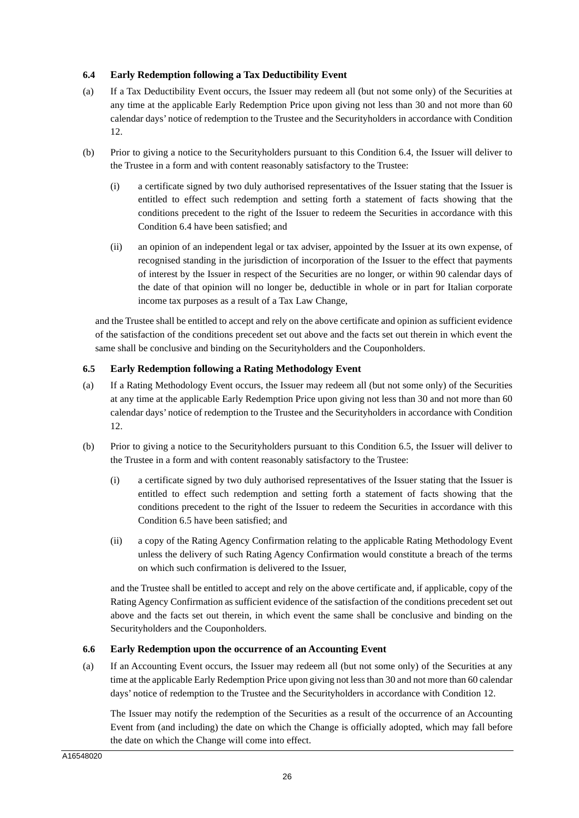## **6.4 Early Redemption following a Tax Deductibility Event**

- (a) If a Tax Deductibility Event occurs, the Issuer may redeem all (but not some only) of the Securities at any time at the applicable Early Redemption Price upon giving not less than 30 and not more than 60 calendar days' notice of redemption to the Trustee and the Securityholders in accordance with Condition 12.
- (b) Prior to giving a notice to the Securityholders pursuant to this Condition 6.4, the Issuer will deliver to the Trustee in a form and with content reasonably satisfactory to the Trustee:
	- (i) a certificate signed by two duly authorised representatives of the Issuer stating that the Issuer is entitled to effect such redemption and setting forth a statement of facts showing that the conditions precedent to the right of the Issuer to redeem the Securities in accordance with this Condition 6.4 have been satisfied; and
	- (ii) an opinion of an independent legal or tax adviser, appointed by the Issuer at its own expense, of recognised standing in the jurisdiction of incorporation of the Issuer to the effect that payments of interest by the Issuer in respect of the Securities are no longer, or within 90 calendar days of the date of that opinion will no longer be, deductible in whole or in part for Italian corporate income tax purposes as a result of a Tax Law Change,

and the Trustee shall be entitled to accept and rely on the above certificate and opinion as sufficient evidence of the satisfaction of the conditions precedent set out above and the facts set out therein in which event the same shall be conclusive and binding on the Securityholders and the Couponholders.

## **6.5 Early Redemption following a Rating Methodology Event**

- (a) If a Rating Methodology Event occurs, the Issuer may redeem all (but not some only) of the Securities at any time at the applicable Early Redemption Price upon giving not less than 30 and not more than 60 calendar days' notice of redemption to the Trustee and the Securityholders in accordance with Condition 12.
- (b) Prior to giving a notice to the Securityholders pursuant to this Condition 6.5, the Issuer will deliver to the Trustee in a form and with content reasonably satisfactory to the Trustee:
	- (i) a certificate signed by two duly authorised representatives of the Issuer stating that the Issuer is entitled to effect such redemption and setting forth a statement of facts showing that the conditions precedent to the right of the Issuer to redeem the Securities in accordance with this Condition 6.5 have been satisfied; and
	- (ii) a copy of the Rating Agency Confirmation relating to the applicable Rating Methodology Event unless the delivery of such Rating Agency Confirmation would constitute a breach of the terms on which such confirmation is delivered to the Issuer,

and the Trustee shall be entitled to accept and rely on the above certificate and, if applicable, copy of the Rating Agency Confirmation as sufficient evidence of the satisfaction of the conditions precedent set out above and the facts set out therein, in which event the same shall be conclusive and binding on the Securityholders and the Couponholders.

## **6.6 Early Redemption upon the occurrence of an Accounting Event**

(a) If an Accounting Event occurs, the Issuer may redeem all (but not some only) of the Securities at any time at the applicable Early Redemption Price upon giving not less than 30 and not more than 60 calendar days' notice of redemption to the Trustee and the Securityholders in accordance with Condition 12.

The Issuer may notify the redemption of the Securities as a result of the occurrence of an Accounting Event from (and including) the date on which the Change is officially adopted, which may fall before the date on which the Change will come into effect.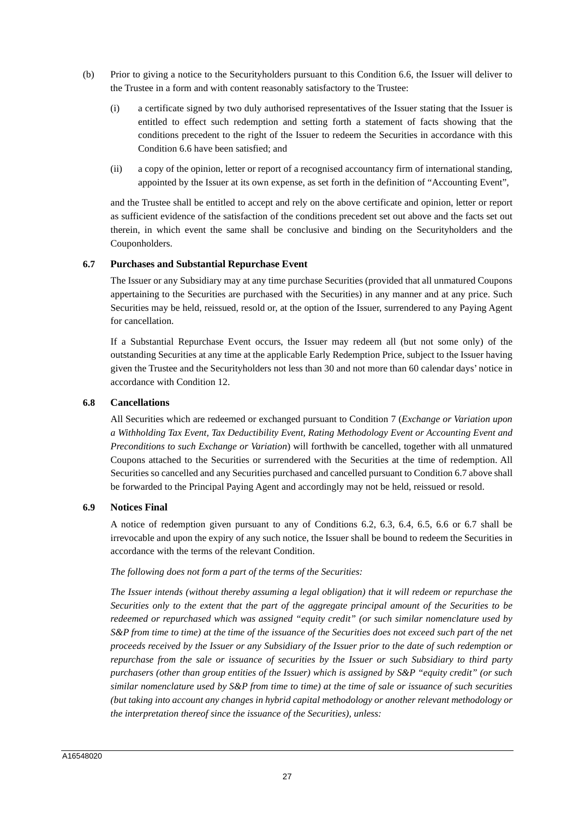- (b) Prior to giving a notice to the Securityholders pursuant to this Condition 6.6, the Issuer will deliver to the Trustee in a form and with content reasonably satisfactory to the Trustee:
	- (i) a certificate signed by two duly authorised representatives of the Issuer stating that the Issuer is entitled to effect such redemption and setting forth a statement of facts showing that the conditions precedent to the right of the Issuer to redeem the Securities in accordance with this Condition 6.6 have been satisfied; and
	- (ii) a copy of the opinion, letter or report of a recognised accountancy firm of international standing, appointed by the Issuer at its own expense, as set forth in the definition of "Accounting Event",

and the Trustee shall be entitled to accept and rely on the above certificate and opinion, letter or report as sufficient evidence of the satisfaction of the conditions precedent set out above and the facts set out therein, in which event the same shall be conclusive and binding on the Securityholders and the Couponholders.

#### **6.7 Purchases and Substantial Repurchase Event**

The Issuer or any Subsidiary may at any time purchase Securities (provided that all unmatured Coupons appertaining to the Securities are purchased with the Securities) in any manner and at any price. Such Securities may be held, reissued, resold or, at the option of the Issuer, surrendered to any Paying Agent for cancellation.

If a Substantial Repurchase Event occurs, the Issuer may redeem all (but not some only) of the outstanding Securities at any time at the applicable Early Redemption Price, subject to the Issuer having given the Trustee and the Securityholders not less than 30 and not more than 60 calendar days' notice in accordance with Condition 12.

#### **6.8 Cancellations**

All Securities which are redeemed or exchanged pursuant to Condition 7 (*Exchange or Variation upon a Withholding Tax Event, Tax Deductibility Event, Rating Methodology Event or Accounting Event and Preconditions to such Exchange or Variation*) will forthwith be cancelled, together with all unmatured Coupons attached to the Securities or surrendered with the Securities at the time of redemption. All Securities so cancelled and any Securities purchased and cancelled pursuant to Condition 6.7 above shall be forwarded to the Principal Paying Agent and accordingly may not be held, reissued or resold.

## **6.9 Notices Final**

A notice of redemption given pursuant to any of Conditions 6.2, 6.3, 6.4, 6.5, 6.6 or 6.7 shall be irrevocable and upon the expiry of any such notice, the Issuer shall be bound to redeem the Securities in accordance with the terms of the relevant Condition.

#### *The following does not form a part of the terms of the Securities:*

*The Issuer intends (without thereby assuming a legal obligation) that it will redeem or repurchase the Securities only to the extent that the part of the aggregate principal amount of the Securities to be redeemed or repurchased which was assigned "equity credit" (or such similar nomenclature used by S&P from time to time) at the time of the issuance of the Securities does not exceed such part of the net proceeds received by the Issuer or any Subsidiary of the Issuer prior to the date of such redemption or repurchase from the sale or issuance of securities by the Issuer or such Subsidiary to third party purchasers (other than group entities of the Issuer) which is assigned by S&P "equity credit" (or such similar nomenclature used by S&P from time to time) at the time of sale or issuance of such securities (but taking into account any changes in hybrid capital methodology or another relevant methodology or the interpretation thereof since the issuance of the Securities), unless:*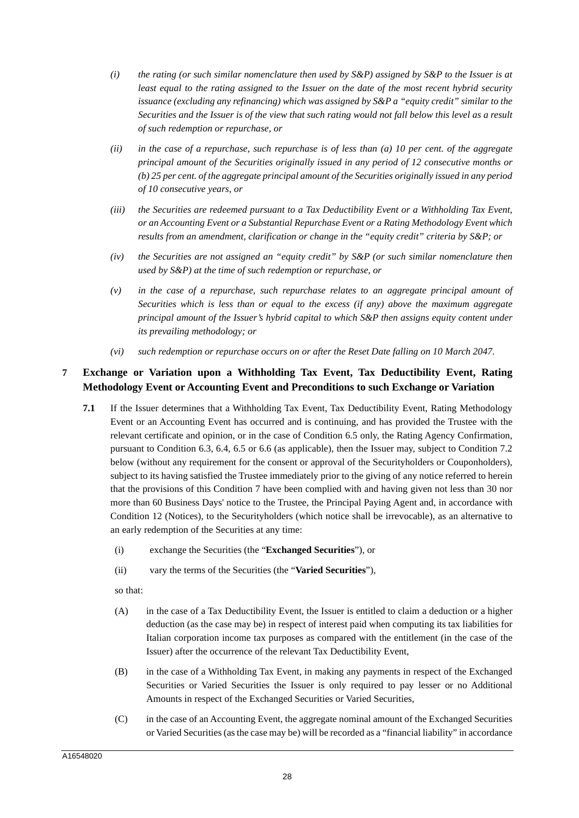- *(i) the rating (or such similar nomenclature then used by S&P) assigned by S&P to the Issuer is at least equal to the rating assigned to the Issuer on the date of the most recent hybrid security issuance (excluding any refinancing) which was assigned by S&P a "equity credit" similar to the Securities and the Issuer is of the view that such rating would not fall below this level as a result of such redemption or repurchase, or*
- *(ii) in the case of a repurchase, such repurchase is of less than (a) 10 per cent. of the aggregate principal amount of the Securities originally issued in any period of 12 consecutive months or (b) 25 per cent. of the aggregate principal amount of the Securities originally issued in any period of 10 consecutive years, or*
- *(iii) the Securities are redeemed pursuant to a Tax Deductibility Event or a Withholding Tax Event, or an Accounting Event or a Substantial Repurchase Event or a Rating Methodology Event which results from an amendment, clarification or change in the "equity credit" criteria by S&P; or*
- *(iv) the Securities are not assigned an "equity credit" by S&P (or such similar nomenclature then used by S&P) at the time of such redemption or repurchase, or*
- *(v) in the case of a repurchase, such repurchase relates to an aggregate principal amount of Securities which is less than or equal to the excess (if any) above the maximum aggregate principal amount of the Issuer's hybrid capital to which S&P then assigns equity content under its prevailing methodology; or*
- *(vi) such redemption or repurchase occurs on or after the Reset Date falling on 10 March 2047.*

# **7 Exchange or Variation upon a Withholding Tax Event, Tax Deductibility Event, Rating Methodology Event or Accounting Event and Preconditions to such Exchange or Variation**

- **7.1** If the Issuer determines that a Withholding Tax Event, Tax Deductibility Event, Rating Methodology Event or an Accounting Event has occurred and is continuing, and has provided the Trustee with the relevant certificate and opinion, or in the case of Condition 6.5 only, the Rating Agency Confirmation, pursuant to Condition 6.3, 6.4, 6.5 or 6.6 (as applicable), then the Issuer may, subject to Condition 7.2 below (without any requirement for the consent or approval of the Securityholders or Couponholders), subject to its having satisfied the Trustee immediately prior to the giving of any notice referred to herein that the provisions of this Condition 7 have been complied with and having given not less than 30 nor more than 60 Business Days' notice to the Trustee, the Principal Paying Agent and, in accordance with Condition 12 (Notices), to the Securityholders (which notice shall be irrevocable), as an alternative to an early redemption of the Securities at any time:
	- (i) exchange the Securities (the "**Exchanged Securities**"), or
	- (ii) vary the terms of the Securities (the "**Varied Securities**"),

so that:

- (A) in the case of a Tax Deductibility Event, the Issuer is entitled to claim a deduction or a higher deduction (as the case may be) in respect of interest paid when computing its tax liabilities for Italian corporation income tax purposes as compared with the entitlement (in the case of the Issuer) after the occurrence of the relevant Tax Deductibility Event,
- (B) in the case of a Withholding Tax Event, in making any payments in respect of the Exchanged Securities or Varied Securities the Issuer is only required to pay lesser or no Additional Amounts in respect of the Exchanged Securities or Varied Securities,
- (C) in the case of an Accounting Event, the aggregate nominal amount of the Exchanged Securities or Varied Securities (as the case may be) will be recorded as a "financial liability" in accordance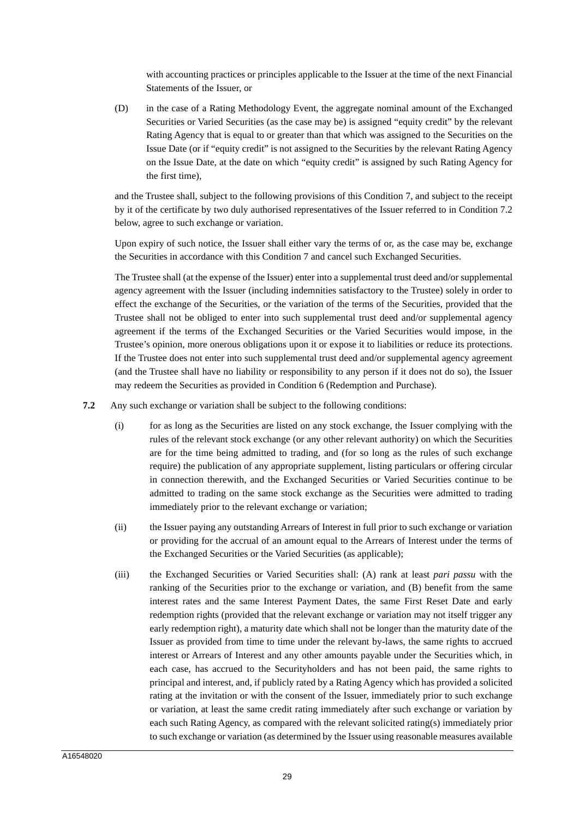with accounting practices or principles applicable to the Issuer at the time of the next Financial Statements of the Issuer, or

(D) in the case of a Rating Methodology Event, the aggregate nominal amount of the Exchanged Securities or Varied Securities (as the case may be) is assigned "equity credit" by the relevant Rating Agency that is equal to or greater than that which was assigned to the Securities on the Issue Date (or if "equity credit" is not assigned to the Securities by the relevant Rating Agency on the Issue Date, at the date on which "equity credit" is assigned by such Rating Agency for the first time),

and the Trustee shall, subject to the following provisions of this Condition 7, and subject to the receipt by it of the certificate by two duly authorised representatives of the Issuer referred to in Condition 7.2 below, agree to such exchange or variation.

Upon expiry of such notice, the Issuer shall either vary the terms of or, as the case may be, exchange the Securities in accordance with this Condition 7 and cancel such Exchanged Securities.

The Trustee shall (at the expense of the Issuer) enter into a supplemental trust deed and/or supplemental agency agreement with the Issuer (including indemnities satisfactory to the Trustee) solely in order to effect the exchange of the Securities, or the variation of the terms of the Securities, provided that the Trustee shall not be obliged to enter into such supplemental trust deed and/or supplemental agency agreement if the terms of the Exchanged Securities or the Varied Securities would impose, in the Trustee's opinion, more onerous obligations upon it or expose it to liabilities or reduce its protections. If the Trustee does not enter into such supplemental trust deed and/or supplemental agency agreement (and the Trustee shall have no liability or responsibility to any person if it does not do so), the Issuer may redeem the Securities as provided in Condition 6 (Redemption and Purchase).

**7.2** Any such exchange or variation shall be subject to the following conditions:

- (i) for as long as the Securities are listed on any stock exchange, the Issuer complying with the rules of the relevant stock exchange (or any other relevant authority) on which the Securities are for the time being admitted to trading, and (for so long as the rules of such exchange require) the publication of any appropriate supplement, listing particulars or offering circular in connection therewith, and the Exchanged Securities or Varied Securities continue to be admitted to trading on the same stock exchange as the Securities were admitted to trading immediately prior to the relevant exchange or variation;
- (ii) the Issuer paying any outstanding Arrears of Interest in full prior to such exchange or variation or providing for the accrual of an amount equal to the Arrears of Interest under the terms of the Exchanged Securities or the Varied Securities (as applicable);
- (iii) the Exchanged Securities or Varied Securities shall: (A) rank at least *pari passu* with the ranking of the Securities prior to the exchange or variation, and (B) benefit from the same interest rates and the same Interest Payment Dates, the same First Reset Date and early redemption rights (provided that the relevant exchange or variation may not itself trigger any early redemption right), a maturity date which shall not be longer than the maturity date of the Issuer as provided from time to time under the relevant by-laws, the same rights to accrued interest or Arrears of Interest and any other amounts payable under the Securities which, in each case, has accrued to the Securityholders and has not been paid, the same rights to principal and interest, and, if publicly rated by a Rating Agency which has provided a solicited rating at the invitation or with the consent of the Issuer, immediately prior to such exchange or variation, at least the same credit rating immediately after such exchange or variation by each such Rating Agency, as compared with the relevant solicited rating(s) immediately prior to such exchange or variation (as determined by the Issuer using reasonable measures available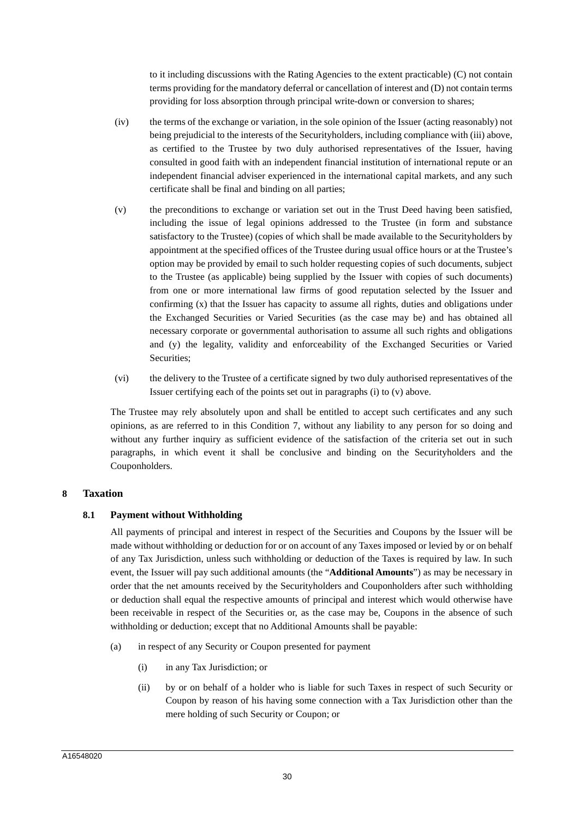to it including discussions with the Rating Agencies to the extent practicable) (C) not contain terms providing for the mandatory deferral or cancellation of interest and (D) not contain terms providing for loss absorption through principal write-down or conversion to shares;

- (iv) the terms of the exchange or variation, in the sole opinion of the Issuer (acting reasonably) not being prejudicial to the interests of the Securityholders, including compliance with (iii) above, as certified to the Trustee by two duly authorised representatives of the Issuer, having consulted in good faith with an independent financial institution of international repute or an independent financial adviser experienced in the international capital markets, and any such certificate shall be final and binding on all parties;
- (v) the preconditions to exchange or variation set out in the Trust Deed having been satisfied, including the issue of legal opinions addressed to the Trustee (in form and substance satisfactory to the Trustee) (copies of which shall be made available to the Securityholders by appointment at the specified offices of the Trustee during usual office hours or at the Trustee's option may be provided by email to such holder requesting copies of such documents, subject to the Trustee (as applicable) being supplied by the Issuer with copies of such documents) from one or more international law firms of good reputation selected by the Issuer and confirming (x) that the Issuer has capacity to assume all rights, duties and obligations under the Exchanged Securities or Varied Securities (as the case may be) and has obtained all necessary corporate or governmental authorisation to assume all such rights and obligations and (y) the legality, validity and enforceability of the Exchanged Securities or Varied Securities;
- (vi) the delivery to the Trustee of a certificate signed by two duly authorised representatives of the Issuer certifying each of the points set out in paragraphs (i) to (v) above.

The Trustee may rely absolutely upon and shall be entitled to accept such certificates and any such opinions, as are referred to in this Condition 7, without any liability to any person for so doing and without any further inquiry as sufficient evidence of the satisfaction of the criteria set out in such paragraphs, in which event it shall be conclusive and binding on the Securityholders and the Couponholders.

## **8 Taxation**

## **8.1 Payment without Withholding**

All payments of principal and interest in respect of the Securities and Coupons by the Issuer will be made without withholding or deduction for or on account of any Taxes imposed or levied by or on behalf of any Tax Jurisdiction, unless such withholding or deduction of the Taxes is required by law. In such event, the Issuer will pay such additional amounts (the "**Additional Amounts**") as may be necessary in order that the net amounts received by the Securityholders and Couponholders after such withholding or deduction shall equal the respective amounts of principal and interest which would otherwise have been receivable in respect of the Securities or, as the case may be, Coupons in the absence of such withholding or deduction; except that no Additional Amounts shall be payable:

- (a) in respect of any Security or Coupon presented for payment
	- (i) in any Tax Jurisdiction; or
	- (ii) by or on behalf of a holder who is liable for such Taxes in respect of such Security or Coupon by reason of his having some connection with a Tax Jurisdiction other than the mere holding of such Security or Coupon; or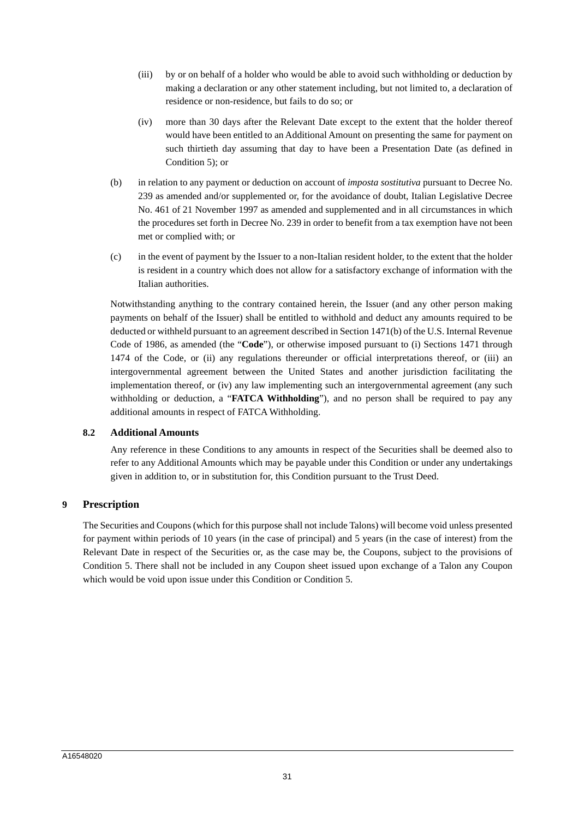- (iii) by or on behalf of a holder who would be able to avoid such withholding or deduction by making a declaration or any other statement including, but not limited to, a declaration of residence or non-residence, but fails to do so; or
- (iv) more than 30 days after the Relevant Date except to the extent that the holder thereof would have been entitled to an Additional Amount on presenting the same for payment on such thirtieth day assuming that day to have been a Presentation Date (as defined in Condition 5); or
- (b) in relation to any payment or deduction on account of *imposta sostitutiva* pursuant to Decree No. 239 as amended and/or supplemented or, for the avoidance of doubt, Italian Legislative Decree No. 461 of 21 November 1997 as amended and supplemented and in all circumstances in which the procedures set forth in Decree No. 239 in order to benefit from a tax exemption have not been met or complied with; or
- (c) in the event of payment by the Issuer to a non-Italian resident holder, to the extent that the holder is resident in a country which does not allow for a satisfactory exchange of information with the Italian authorities.

Notwithstanding anything to the contrary contained herein, the Issuer (and any other person making payments on behalf of the Issuer) shall be entitled to withhold and deduct any amounts required to be deducted or withheld pursuant to an agreement described in Section 1471(b) of the U.S. Internal Revenue Code of 1986, as amended (the "**Code**"), or otherwise imposed pursuant to (i) Sections 1471 through 1474 of the Code, or (ii) any regulations thereunder or official interpretations thereof, or (iii) an intergovernmental agreement between the United States and another jurisdiction facilitating the implementation thereof, or (iv) any law implementing such an intergovernmental agreement (any such withholding or deduction, a "**FATCA Withholding**"), and no person shall be required to pay any additional amounts in respect of FATCA Withholding.

## **8.2 Additional Amounts**

Any reference in these Conditions to any amounts in respect of the Securities shall be deemed also to refer to any Additional Amounts which may be payable under this Condition or under any undertakings given in addition to, or in substitution for, this Condition pursuant to the Trust Deed.

## **9 Prescription**

The Securities and Coupons (which for this purpose shall not include Talons) will become void unless presented for payment within periods of 10 years (in the case of principal) and 5 years (in the case of interest) from the Relevant Date in respect of the Securities or, as the case may be, the Coupons, subject to the provisions of Condition 5. There shall not be included in any Coupon sheet issued upon exchange of a Talon any Coupon which would be void upon issue under this Condition or Condition 5.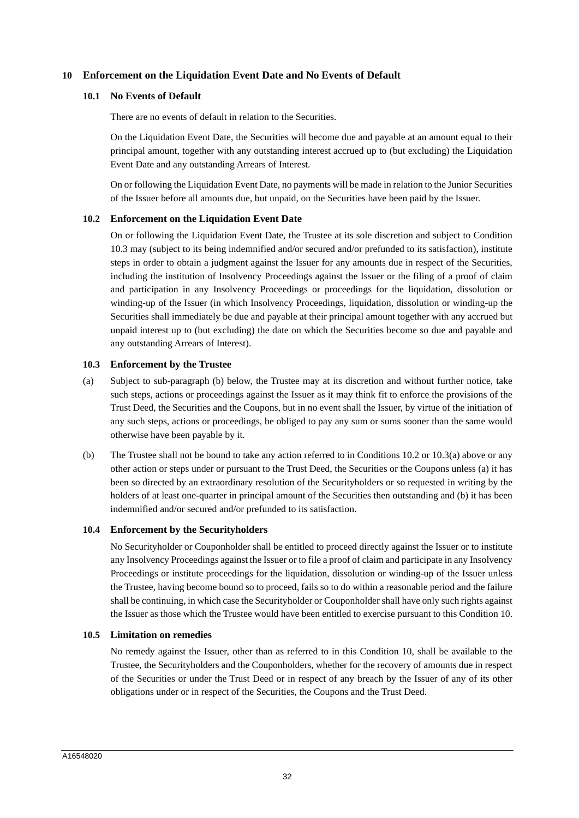## **10 Enforcement on the Liquidation Event Date and No Events of Default**

#### **10.1 No Events of Default**

There are no events of default in relation to the Securities.

On the Liquidation Event Date, the Securities will become due and payable at an amount equal to their principal amount, together with any outstanding interest accrued up to (but excluding) the Liquidation Event Date and any outstanding Arrears of Interest.

On or following the Liquidation Event Date, no payments will be made in relation to the Junior Securities of the Issuer before all amounts due, but unpaid, on the Securities have been paid by the Issuer.

#### **10.2 Enforcement on the Liquidation Event Date**

On or following the Liquidation Event Date, the Trustee at its sole discretion and subject to Condition 10.3 may (subject to its being indemnified and/or secured and/or prefunded to its satisfaction), institute steps in order to obtain a judgment against the Issuer for any amounts due in respect of the Securities, including the institution of Insolvency Proceedings against the Issuer or the filing of a proof of claim and participation in any Insolvency Proceedings or proceedings for the liquidation, dissolution or winding-up of the Issuer (in which Insolvency Proceedings, liquidation, dissolution or winding-up the Securities shall immediately be due and payable at their principal amount together with any accrued but unpaid interest up to (but excluding) the date on which the Securities become so due and payable and any outstanding Arrears of Interest).

#### **10.3 Enforcement by the Trustee**

- (a) Subject to sub-paragraph (b) below, the Trustee may at its discretion and without further notice, take such steps, actions or proceedings against the Issuer as it may think fit to enforce the provisions of the Trust Deed, the Securities and the Coupons, but in no event shall the Issuer, by virtue of the initiation of any such steps, actions or proceedings, be obliged to pay any sum or sums sooner than the same would otherwise have been payable by it.
- (b) The Trustee shall not be bound to take any action referred to in Conditions 10.2 or 10.3(a) above or any other action or steps under or pursuant to the Trust Deed, the Securities or the Coupons unless (a) it has been so directed by an extraordinary resolution of the Securityholders or so requested in writing by the holders of at least one-quarter in principal amount of the Securities then outstanding and (b) it has been indemnified and/or secured and/or prefunded to its satisfaction.

#### **10.4 Enforcement by the Securityholders**

No Securityholder or Couponholder shall be entitled to proceed directly against the Issuer or to institute any Insolvency Proceedings against the Issuer or to file a proof of claim and participate in any Insolvency Proceedings or institute proceedings for the liquidation, dissolution or winding-up of the Issuer unless the Trustee, having become bound so to proceed, fails so to do within a reasonable period and the failure shall be continuing, in which case the Securityholder or Couponholder shall have only such rights against the Issuer as those which the Trustee would have been entitled to exercise pursuant to this Condition 10.

#### **10.5 Limitation on remedies**

No remedy against the Issuer, other than as referred to in this Condition 10, shall be available to the Trustee, the Securityholders and the Couponholders, whether for the recovery of amounts due in respect of the Securities or under the Trust Deed or in respect of any breach by the Issuer of any of its other obligations under or in respect of the Securities, the Coupons and the Trust Deed.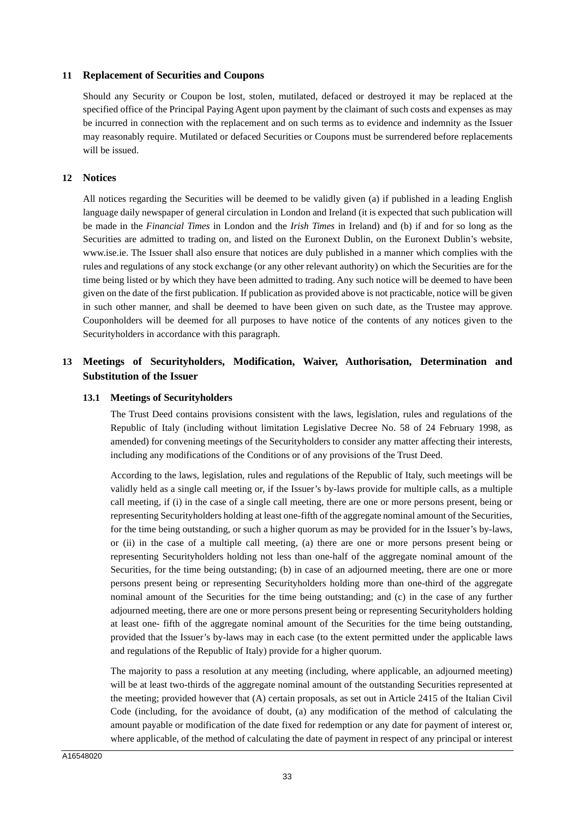#### **11 Replacement of Securities and Coupons**

Should any Security or Coupon be lost, stolen, mutilated, defaced or destroyed it may be replaced at the specified office of the Principal Paying Agent upon payment by the claimant of such costs and expenses as may be incurred in connection with the replacement and on such terms as to evidence and indemnity as the Issuer may reasonably require. Mutilated or defaced Securities or Coupons must be surrendered before replacements will be issued.

#### **12 Notices**

All notices regarding the Securities will be deemed to be validly given (a) if published in a leading English language daily newspaper of general circulation in London and Ireland (it is expected that such publication will be made in the *Financial Times* in London and the *Irish Times* in Ireland) and (b) if and for so long as the Securities are admitted to trading on, and listed on the Euronext Dublin, on the Euronext Dublin's website, www.ise.ie. The Issuer shall also ensure that notices are duly published in a manner which complies with the rules and regulations of any stock exchange (or any other relevant authority) on which the Securities are for the time being listed or by which they have been admitted to trading. Any such notice will be deemed to have been given on the date of the first publication. If publication as provided above is not practicable, notice will be given in such other manner, and shall be deemed to have been given on such date, as the Trustee may approve. Couponholders will be deemed for all purposes to have notice of the contents of any notices given to the Securityholders in accordance with this paragraph.

# **13 Meetings of Securityholders, Modification, Waiver, Authorisation, Determination and Substitution of the Issuer**

#### **13.1 Meetings of Securityholders**

The Trust Deed contains provisions consistent with the laws, legislation, rules and regulations of the Republic of Italy (including without limitation Legislative Decree No. 58 of 24 February 1998, as amended) for convening meetings of the Securityholders to consider any matter affecting their interests, including any modifications of the Conditions or of any provisions of the Trust Deed.

According to the laws, legislation, rules and regulations of the Republic of Italy, such meetings will be validly held as a single call meeting or, if the Issuer's by-laws provide for multiple calls, as a multiple call meeting, if (i) in the case of a single call meeting, there are one or more persons present, being or representing Securityholders holding at least one-fifth of the aggregate nominal amount of the Securities, for the time being outstanding, or such a higher quorum as may be provided for in the Issuer's by-laws, or (ii) in the case of a multiple call meeting, (a) there are one or more persons present being or representing Securityholders holding not less than one-half of the aggregate nominal amount of the Securities, for the time being outstanding; (b) in case of an adjourned meeting, there are one or more persons present being or representing Securityholders holding more than one-third of the aggregate nominal amount of the Securities for the time being outstanding; and (c) in the case of any further adjourned meeting, there are one or more persons present being or representing Securityholders holding at least one- fifth of the aggregate nominal amount of the Securities for the time being outstanding, provided that the Issuer's by-laws may in each case (to the extent permitted under the applicable laws and regulations of the Republic of Italy) provide for a higher quorum.

The majority to pass a resolution at any meeting (including, where applicable, an adjourned meeting) will be at least two-thirds of the aggregate nominal amount of the outstanding Securities represented at the meeting; provided however that (A) certain proposals, as set out in Article 2415 of the Italian Civil Code (including, for the avoidance of doubt, (a) any modification of the method of calculating the amount payable or modification of the date fixed for redemption or any date for payment of interest or, where applicable, of the method of calculating the date of payment in respect of any principal or interest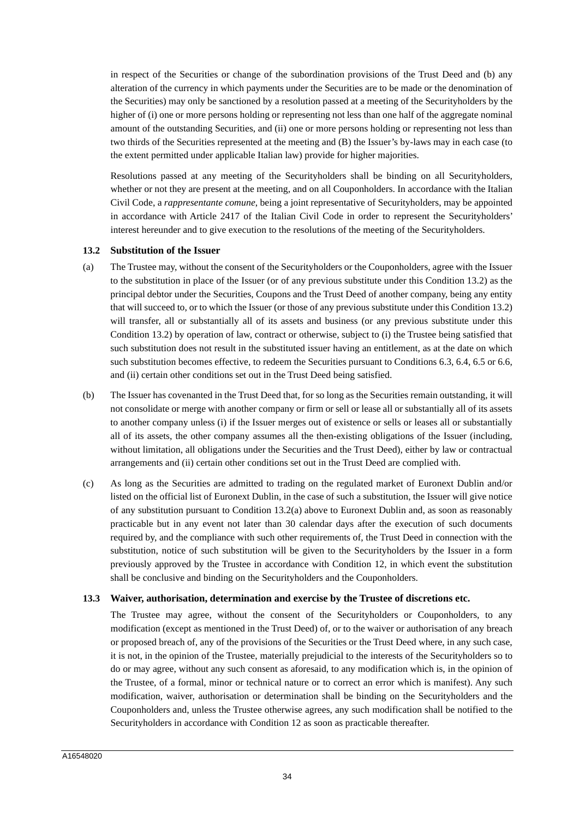in respect of the Securities or change of the subordination provisions of the Trust Deed and (b) any alteration of the currency in which payments under the Securities are to be made or the denomination of the Securities) may only be sanctioned by a resolution passed at a meeting of the Securityholders by the higher of (i) one or more persons holding or representing not less than one half of the aggregate nominal amount of the outstanding Securities, and (ii) one or more persons holding or representing not less than two thirds of the Securities represented at the meeting and (B) the Issuer's by-laws may in each case (to the extent permitted under applicable Italian law) provide for higher majorities.

Resolutions passed at any meeting of the Securityholders shall be binding on all Securityholders, whether or not they are present at the meeting, and on all Couponholders. In accordance with the Italian Civil Code, a *rappresentante comune*, being a joint representative of Securityholders, may be appointed in accordance with Article 2417 of the Italian Civil Code in order to represent the Securityholders' interest hereunder and to give execution to the resolutions of the meeting of the Securityholders.

#### **13.2 Substitution of the Issuer**

- (a) The Trustee may, without the consent of the Securityholders or the Couponholders, agree with the Issuer to the substitution in place of the Issuer (or of any previous substitute under this Condition 13.2) as the principal debtor under the Securities, Coupons and the Trust Deed of another company, being any entity that will succeed to, or to which the Issuer (or those of any previous substitute under this Condition 13.2) will transfer, all or substantially all of its assets and business (or any previous substitute under this Condition 13.2) by operation of law, contract or otherwise, subject to (i) the Trustee being satisfied that such substitution does not result in the substituted issuer having an entitlement, as at the date on which such substitution becomes effective, to redeem the Securities pursuant to Conditions 6.3, 6.4, 6.5 or 6.6, and (ii) certain other conditions set out in the Trust Deed being satisfied.
- (b) The Issuer has covenanted in the Trust Deed that, for so long as the Securities remain outstanding, it will not consolidate or merge with another company or firm or sell or lease all or substantially all of its assets to another company unless (i) if the Issuer merges out of existence or sells or leases all or substantially all of its assets, the other company assumes all the then-existing obligations of the Issuer (including, without limitation, all obligations under the Securities and the Trust Deed), either by law or contractual arrangements and (ii) certain other conditions set out in the Trust Deed are complied with.
- (c) As long as the Securities are admitted to trading on the regulated market of Euronext Dublin and/or listed on the official list of Euronext Dublin, in the case of such a substitution, the Issuer will give notice of any substitution pursuant to Condition 13.2(a) above to Euronext Dublin and, as soon as reasonably practicable but in any event not later than 30 calendar days after the execution of such documents required by, and the compliance with such other requirements of, the Trust Deed in connection with the substitution, notice of such substitution will be given to the Securityholders by the Issuer in a form previously approved by the Trustee in accordance with Condition 12, in which event the substitution shall be conclusive and binding on the Securityholders and the Couponholders.

## **13.3 Waiver, authorisation, determination and exercise by the Trustee of discretions etc.**

The Trustee may agree, without the consent of the Securityholders or Couponholders, to any modification (except as mentioned in the Trust Deed) of, or to the waiver or authorisation of any breach or proposed breach of, any of the provisions of the Securities or the Trust Deed where, in any such case, it is not, in the opinion of the Trustee, materially prejudicial to the interests of the Securityholders so to do or may agree, without any such consent as aforesaid, to any modification which is, in the opinion of the Trustee, of a formal, minor or technical nature or to correct an error which is manifest). Any such modification, waiver, authorisation or determination shall be binding on the Securityholders and the Couponholders and, unless the Trustee otherwise agrees, any such modification shall be notified to the Securityholders in accordance with Condition 12 as soon as practicable thereafter.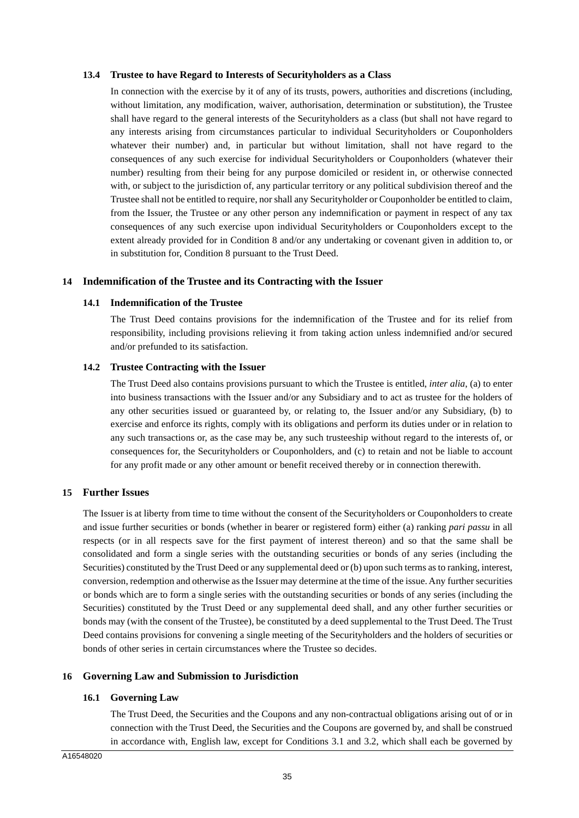#### **13.4 Trustee to have Regard to Interests of Securityholders as a Class**

In connection with the exercise by it of any of its trusts, powers, authorities and discretions (including, without limitation, any modification, waiver, authorisation, determination or substitution), the Trustee shall have regard to the general interests of the Securityholders as a class (but shall not have regard to any interests arising from circumstances particular to individual Securityholders or Couponholders whatever their number) and, in particular but without limitation, shall not have regard to the consequences of any such exercise for individual Securityholders or Couponholders (whatever their number) resulting from their being for any purpose domiciled or resident in, or otherwise connected with, or subject to the jurisdiction of, any particular territory or any political subdivision thereof and the Trustee shall not be entitled to require, nor shall any Securityholder or Couponholder be entitled to claim, from the Issuer, the Trustee or any other person any indemnification or payment in respect of any tax consequences of any such exercise upon individual Securityholders or Couponholders except to the extent already provided for in Condition 8 and/or any undertaking or covenant given in addition to, or in substitution for, Condition 8 pursuant to the Trust Deed.

## **14 Indemnification of the Trustee and its Contracting with the Issuer**

#### **14.1 Indemnification of the Trustee**

The Trust Deed contains provisions for the indemnification of the Trustee and for its relief from responsibility, including provisions relieving it from taking action unless indemnified and/or secured and/or prefunded to its satisfaction.

#### **14.2 Trustee Contracting with the Issuer**

The Trust Deed also contains provisions pursuant to which the Trustee is entitled, *inter alia*, (a) to enter into business transactions with the Issuer and/or any Subsidiary and to act as trustee for the holders of any other securities issued or guaranteed by, or relating to, the Issuer and/or any Subsidiary, (b) to exercise and enforce its rights, comply with its obligations and perform its duties under or in relation to any such transactions or, as the case may be, any such trusteeship without regard to the interests of, or consequences for, the Securityholders or Couponholders, and (c) to retain and not be liable to account for any profit made or any other amount or benefit received thereby or in connection therewith.

#### **15 Further Issues**

The Issuer is at liberty from time to time without the consent of the Securityholders or Couponholders to create and issue further securities or bonds (whether in bearer or registered form) either (a) ranking *pari passu* in all respects (or in all respects save for the first payment of interest thereon) and so that the same shall be consolidated and form a single series with the outstanding securities or bonds of any series (including the Securities) constituted by the Trust Deed or any supplemental deed or (b) upon such terms as to ranking, interest, conversion, redemption and otherwise as the Issuer may determine at the time of the issue. Any further securities or bonds which are to form a single series with the outstanding securities or bonds of any series (including the Securities) constituted by the Trust Deed or any supplemental deed shall, and any other further securities or bonds may (with the consent of the Trustee), be constituted by a deed supplemental to the Trust Deed. The Trust Deed contains provisions for convening a single meeting of the Securityholders and the holders of securities or bonds of other series in certain circumstances where the Trustee so decides.

## **16 Governing Law and Submission to Jurisdiction**

## **16.1 Governing Law**

The Trust Deed, the Securities and the Coupons and any non-contractual obligations arising out of or in connection with the Trust Deed, the Securities and the Coupons are governed by, and shall be construed in accordance with, English law, except for Conditions 3.1 and 3.2, which shall each be governed by